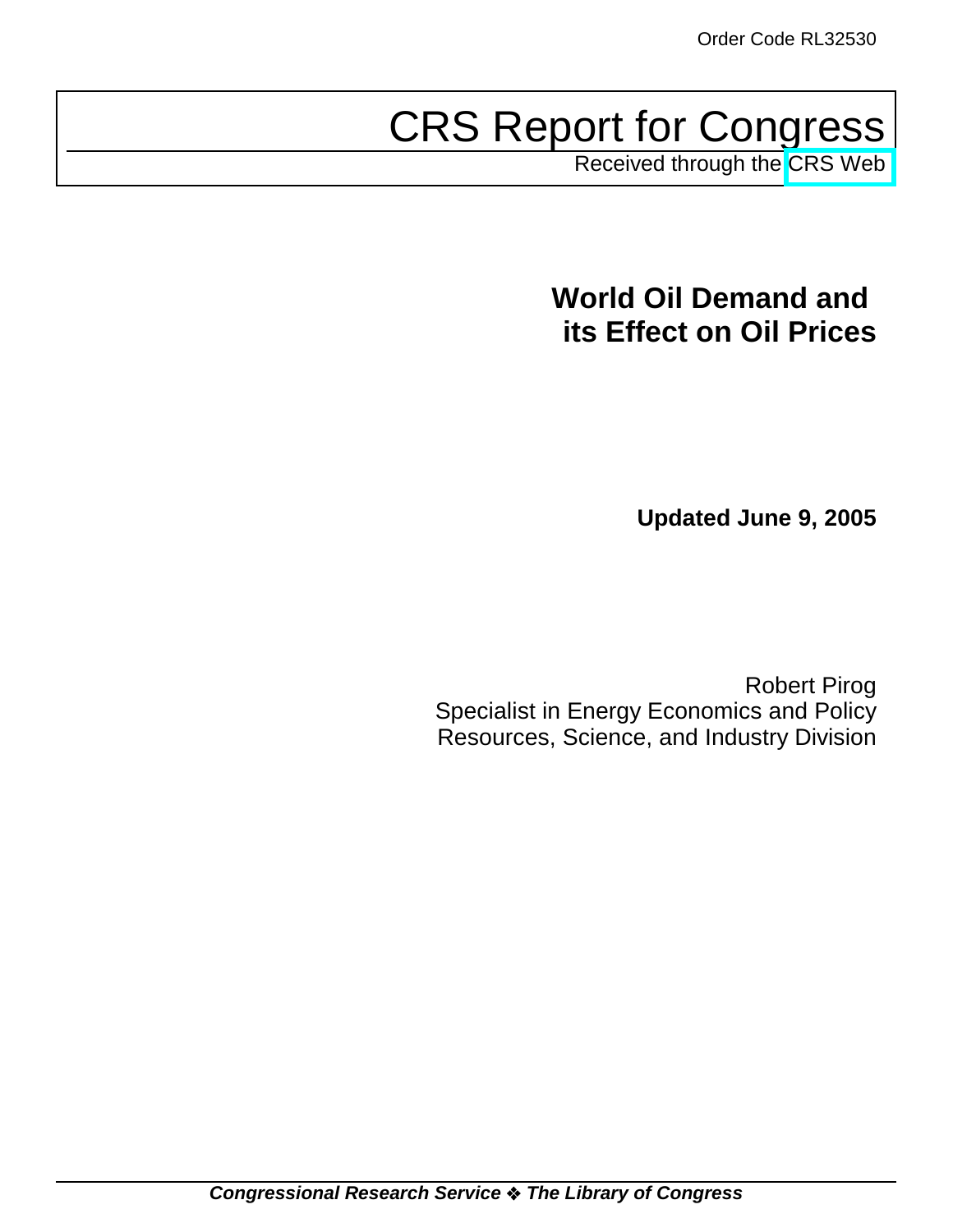# CRS Report for Congress

Received through the [CRS Web](http://www.fas.org/sgp/crs/misc/index.html)

# **World Oil Demand and its Effect on Oil Prices**

**Updated June 9, 2005**

Robert Pirog Specialist in Energy Economics and Policy Resources, Science, and Industry Division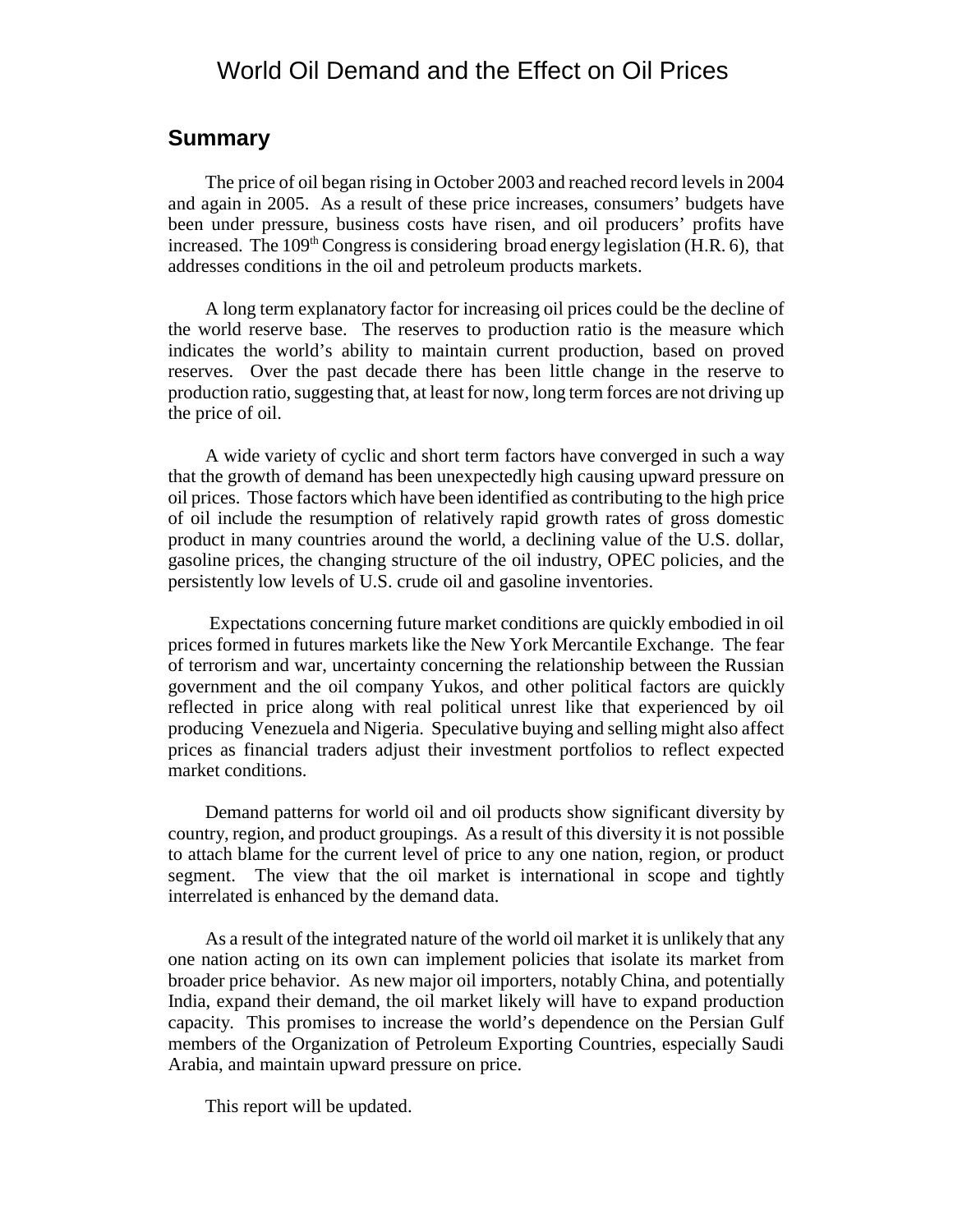# World Oil Demand and the Effect on Oil Prices

#### **Summary**

The price of oil began rising in October 2003 and reached record levels in 2004 and again in 2005. As a result of these price increases, consumers' budgets have been under pressure, business costs have risen, and oil producers' profits have increased. The  $109<sup>th</sup>$  Congress is considering broad energy legislation (H.R. 6), that addresses conditions in the oil and petroleum products markets.

A long term explanatory factor for increasing oil prices could be the decline of the world reserve base. The reserves to production ratio is the measure which indicates the world's ability to maintain current production, based on proved reserves. Over the past decade there has been little change in the reserve to production ratio, suggesting that, at least for now, long term forces are not driving up the price of oil.

A wide variety of cyclic and short term factors have converged in such a way that the growth of demand has been unexpectedly high causing upward pressure on oil prices. Those factors which have been identified as contributing to the high price of oil include the resumption of relatively rapid growth rates of gross domestic product in many countries around the world, a declining value of the U.S. dollar, gasoline prices, the changing structure of the oil industry, OPEC policies, and the persistently low levels of U.S. crude oil and gasoline inventories.

 Expectations concerning future market conditions are quickly embodied in oil prices formed in futures markets like the New York Mercantile Exchange. The fear of terrorism and war, uncertainty concerning the relationship between the Russian government and the oil company Yukos, and other political factors are quickly reflected in price along with real political unrest like that experienced by oil producing Venezuela and Nigeria. Speculative buying and selling might also affect prices as financial traders adjust their investment portfolios to reflect expected market conditions.

Demand patterns for world oil and oil products show significant diversity by country, region, and product groupings. As a result of this diversity it is not possible to attach blame for the current level of price to any one nation, region, or product segment. The view that the oil market is international in scope and tightly interrelated is enhanced by the demand data.

As a result of the integrated nature of the world oil market it is unlikely that any one nation acting on its own can implement policies that isolate its market from broader price behavior. As new major oil importers, notably China, and potentially India, expand their demand, the oil market likely will have to expand production capacity. This promises to increase the world's dependence on the Persian Gulf members of the Organization of Petroleum Exporting Countries, especially Saudi Arabia, and maintain upward pressure on price.

This report will be updated.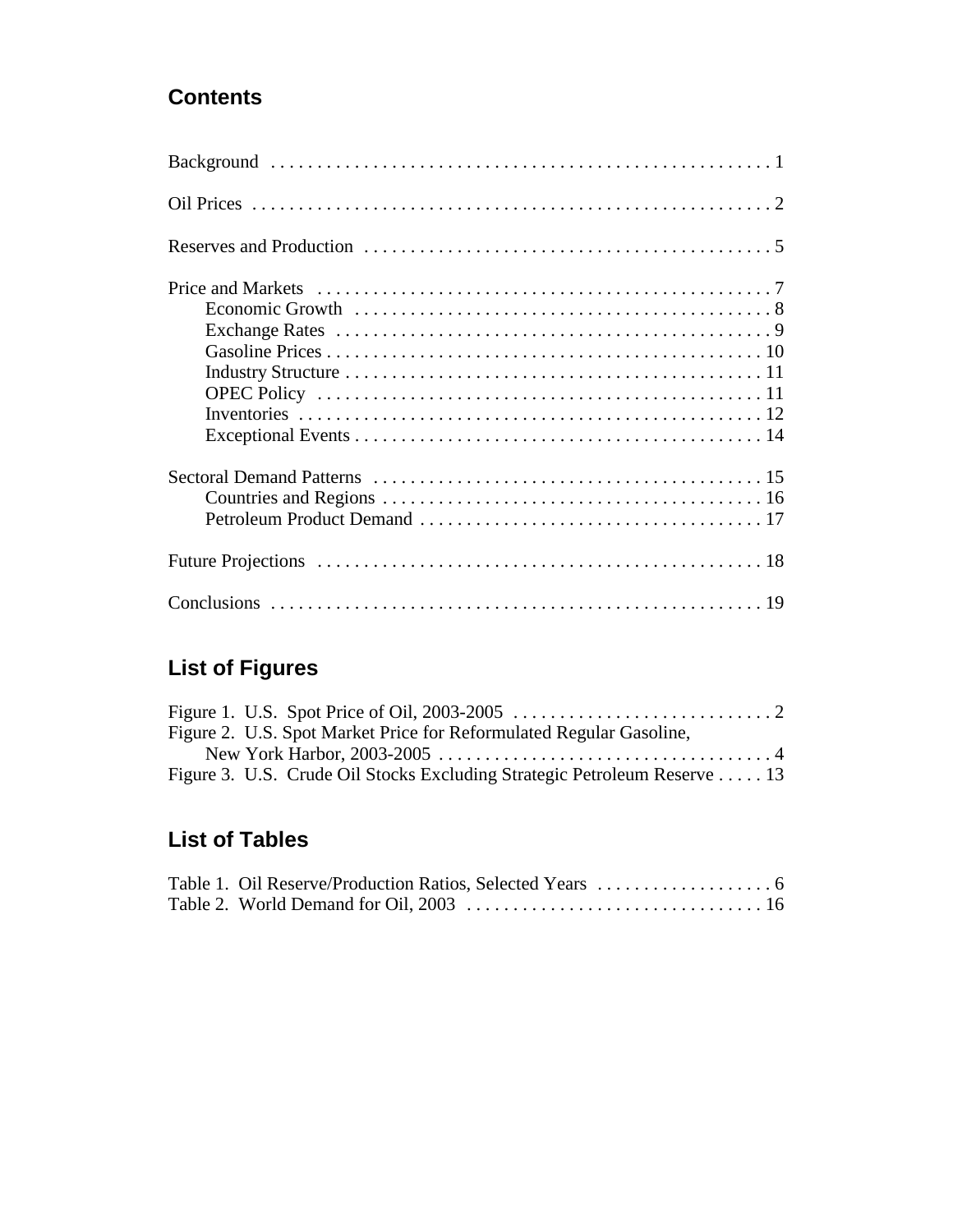# **Contents**

# **List of Figures**

|  | Figure 2. U.S. Spot Market Price for Reformulated Regular Gasoline,      |  |
|--|--------------------------------------------------------------------------|--|
|  |                                                                          |  |
|  | Figure 3. U.S. Crude Oil Stocks Excluding Strategic Petroleum Reserve 13 |  |

# **List of Tables**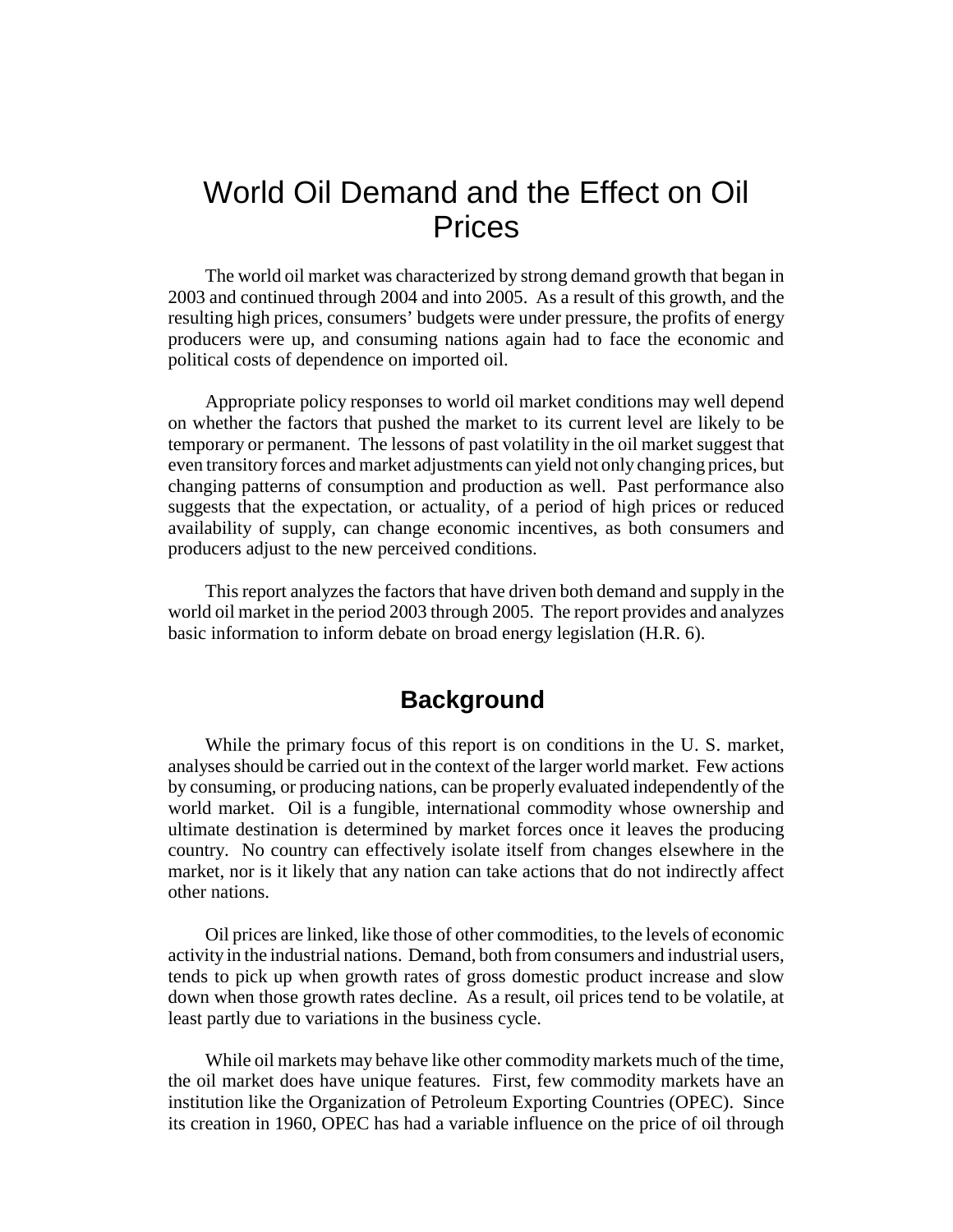# World Oil Demand and the Effect on Oil Prices

The world oil market was characterized by strong demand growth that began in 2003 and continued through 2004 and into 2005. As a result of this growth, and the resulting high prices, consumers' budgets were under pressure, the profits of energy producers were up, and consuming nations again had to face the economic and political costs of dependence on imported oil.

Appropriate policy responses to world oil market conditions may well depend on whether the factors that pushed the market to its current level are likely to be temporary or permanent. The lessons of past volatility in the oil market suggest that even transitory forces and market adjustments can yield not only changing prices, but changing patterns of consumption and production as well. Past performance also suggests that the expectation, or actuality, of a period of high prices or reduced availability of supply, can change economic incentives, as both consumers and producers adjust to the new perceived conditions.

This report analyzes the factors that have driven both demand and supply in the world oil market in the period 2003 through 2005. The report provides and analyzes basic information to inform debate on broad energy legislation (H.R. 6).

# **Background**

While the primary focus of this report is on conditions in the U. S. market, analyses should be carried out in the context of the larger world market. Few actions by consuming, or producing nations, can be properly evaluated independently of the world market. Oil is a fungible, international commodity whose ownership and ultimate destination is determined by market forces once it leaves the producing country. No country can effectively isolate itself from changes elsewhere in the market, nor is it likely that any nation can take actions that do not indirectly affect other nations.

Oil prices are linked, like those of other commodities, to the levels of economic activity in the industrial nations. Demand, both from consumers and industrial users, tends to pick up when growth rates of gross domestic product increase and slow down when those growth rates decline. As a result, oil prices tend to be volatile, at least partly due to variations in the business cycle.

While oil markets may behave like other commodity markets much of the time, the oil market does have unique features. First, few commodity markets have an institution like the Organization of Petroleum Exporting Countries (OPEC). Since its creation in 1960, OPEC has had a variable influence on the price of oil through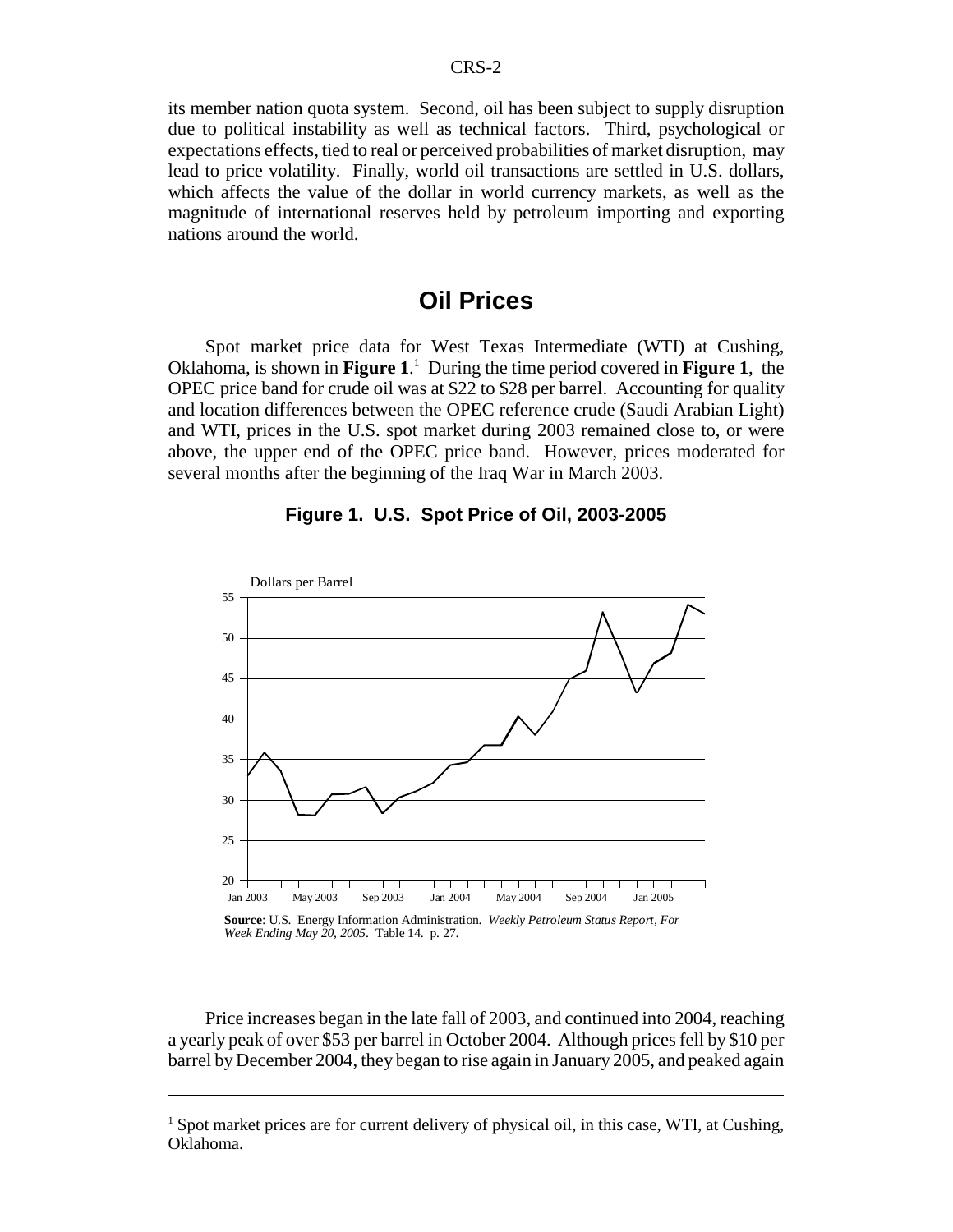its member nation quota system. Second, oil has been subject to supply disruption due to political instability as well as technical factors. Third, psychological or expectations effects, tied to real or perceived probabilities of market disruption, may lead to price volatility. Finally, world oil transactions are settled in U.S. dollars, which affects the value of the dollar in world currency markets, as well as the magnitude of international reserves held by petroleum importing and exporting nations around the world.

## **Oil Prices**

Spot market price data for West Texas Intermediate (WTI) at Cushing, Oklahoma, is shown in **Figure 1**. 1 During the time period covered in **Figure 1**, the OPEC price band for crude oil was at \$22 to \$28 per barrel. Accounting for quality and location differences between the OPEC reference crude (Saudi Arabian Light) and WTI, prices in the U.S. spot market during 2003 remained close to, or were above, the upper end of the OPEC price band. However, prices moderated for several months after the beginning of the Iraq War in March 2003.



**Figure 1. U.S. Spot Price of Oil, 2003-2005**

Price increases began in the late fall of 2003, and continued into 2004, reaching a yearly peak of over \$53 per barrel in October 2004. Although prices fell by \$10 per barrel by December 2004, they began to rise again in January 2005, and peaked again

<sup>&</sup>lt;sup>1</sup> Spot market prices are for current delivery of physical oil, in this case, WTI, at Cushing, Oklahoma.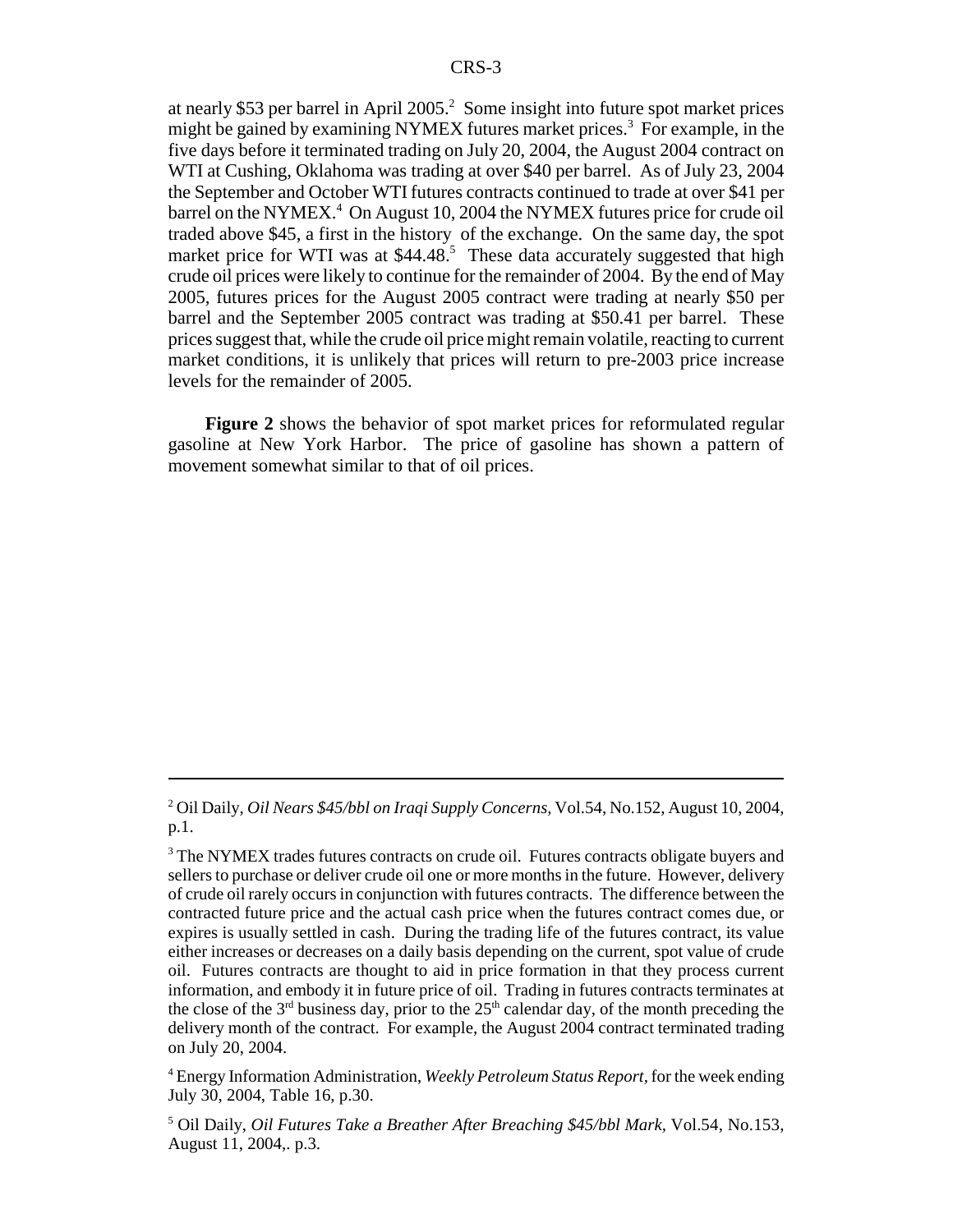at nearly \$53 per barrel in April 2005.<sup>2</sup> Some insight into future spot market prices might be gained by examining NYMEX futures market prices.<sup>3</sup> For example, in the five days before it terminated trading on July 20, 2004, the August 2004 contract on WTI at Cushing, Oklahoma was trading at over \$40 per barrel. As of July 23, 2004 the September and October WTI futures contracts continued to trade at over \$41 per barrel on the NYMEX.<sup>4</sup> On August 10, 2004 the NYMEX futures price for crude oil traded above \$45, a first in the history of the exchange. On the same day, the spot market price for WTI was at \$44.48.<sup>5</sup> These data accurately suggested that high crude oil prices were likely to continue for the remainder of 2004. By the end of May 2005, futures prices for the August 2005 contract were trading at nearly \$50 per barrel and the September 2005 contract was trading at \$50.41 per barrel. These prices suggest that, while the crude oil price might remain volatile, reacting to current market conditions, it is unlikely that prices will return to pre-2003 price increase levels for the remainder of 2005.

**Figure 2** shows the behavior of spot market prices for reformulated regular gasoline at New York Harbor. The price of gasoline has shown a pattern of movement somewhat similar to that of oil prices.

<sup>2</sup> Oil Daily, *Oil Nears \$45/bbl on Iraqi Supply Concerns,* Vol.54, No.152, August 10, 2004, p.1.

<sup>&</sup>lt;sup>3</sup> The NYMEX trades futures contracts on crude oil. Futures contracts obligate buyers and sellers to purchase or deliver crude oil one or more months in the future. However, delivery of crude oil rarely occurs in conjunction with futures contracts. The difference between the contracted future price and the actual cash price when the futures contract comes due, or expires is usually settled in cash. During the trading life of the futures contract, its value either increases or decreases on a daily basis depending on the current, spot value of crude oil. Futures contracts are thought to aid in price formation in that they process current information, and embody it in future price of oil. Trading in futures contracts terminates at the close of the 3<sup>rd</sup> business day, prior to the  $25<sup>th</sup>$  calendar day, of the month preceding the delivery month of the contract. For example, the August 2004 contract terminated trading on July 20, 2004.

<sup>4</sup> Energy Information Administration, *Weekly Petroleum Status Report,* for the week ending July 30, 2004, Table 16, p.30.

<sup>5</sup> Oil Daily, *Oil Futures Take a Breather After Breaching \$45/bbl Mark,* Vol.54, No.153, August 11, 2004,. p.3.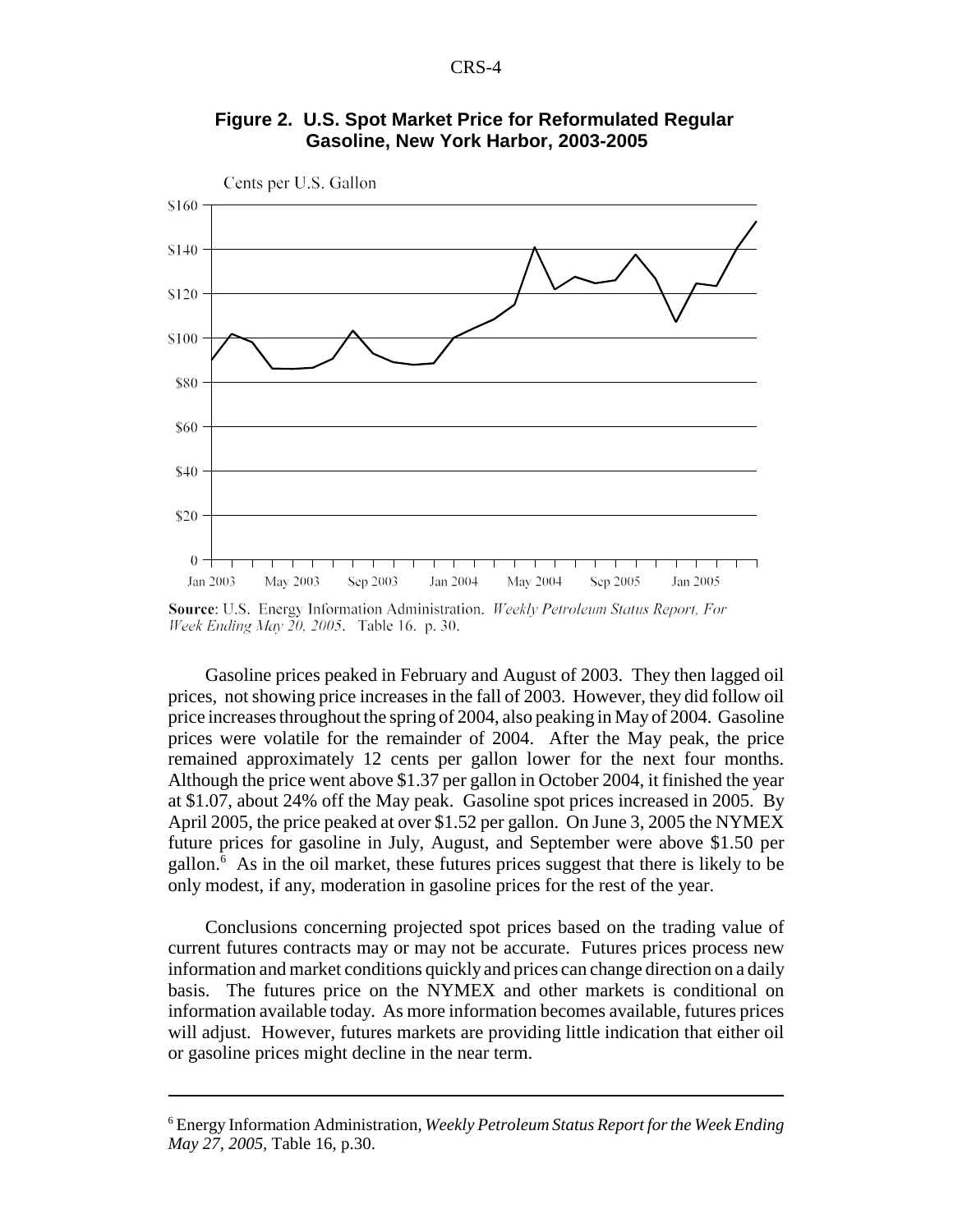



Source: U.S. Energy Information Administration. Weekly Petroleum Status Report, For Week Ending May 20, 2005. Table 16. p. 30.

Gasoline prices peaked in February and August of 2003. They then lagged oil prices, not showing price increases in the fall of 2003. However, they did follow oil price increases throughout the spring of 2004, also peaking in May of 2004. Gasoline prices were volatile for the remainder of 2004. After the May peak, the price remained approximately 12 cents per gallon lower for the next four months. Although the price went above \$1.37 per gallon in October 2004, it finished the year at \$1.07, about 24% off the May peak. Gasoline spot prices increased in 2005. By April 2005, the price peaked at over \$1.52 per gallon. On June 3, 2005 the NYMEX future prices for gasoline in July, August, and September were above \$1.50 per gallon.<sup>6</sup> As in the oil market, these futures prices suggest that there is likely to be only modest, if any, moderation in gasoline prices for the rest of the year.

Conclusions concerning projected spot prices based on the trading value of current futures contracts may or may not be accurate. Futures prices process new information and market conditions quickly and prices can change direction on a daily basis. The futures price on the NYMEX and other markets is conditional on information available today. As more information becomes available, futures prices will adjust. However, futures markets are providing little indication that either oil or gasoline prices might decline in the near term.

<sup>6</sup> Energy Information Administration, *Weekly Petroleum Status Report for the Week Ending May 27, 2005,* Table 16, p.30.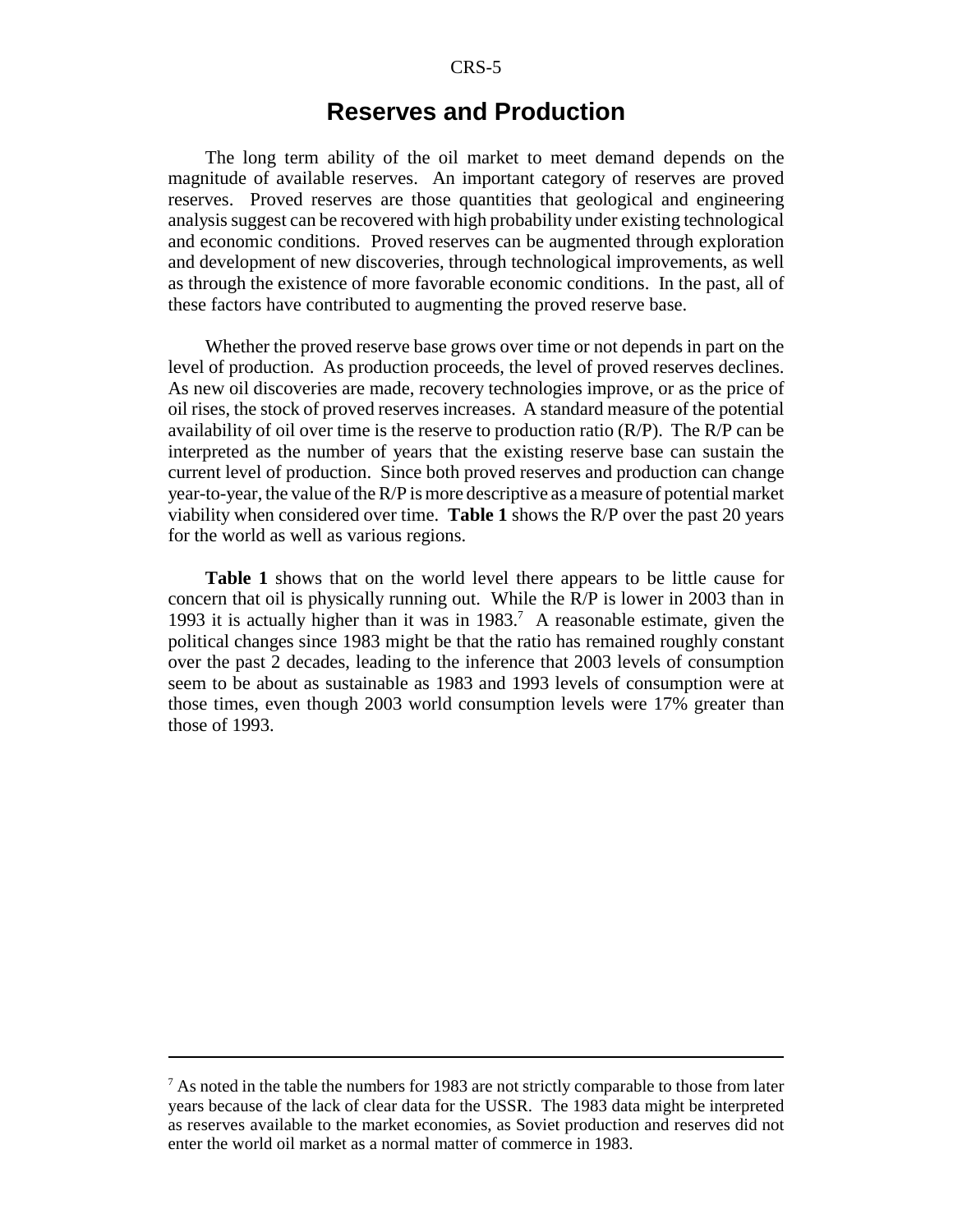### **Reserves and Production**

The long term ability of the oil market to meet demand depends on the magnitude of available reserves. An important category of reserves are proved reserves. Proved reserves are those quantities that geological and engineering analysis suggest can be recovered with high probability under existing technological and economic conditions. Proved reserves can be augmented through exploration and development of new discoveries, through technological improvements, as well as through the existence of more favorable economic conditions. In the past, all of these factors have contributed to augmenting the proved reserve base.

Whether the proved reserve base grows over time or not depends in part on the level of production. As production proceeds, the level of proved reserves declines. As new oil discoveries are made, recovery technologies improve, or as the price of oil rises, the stock of proved reserves increases. A standard measure of the potential availability of oil over time is the reserve to production ratio  $(R/P)$ . The  $R/P$  can be interpreted as the number of years that the existing reserve base can sustain the current level of production. Since both proved reserves and production can change year-to-year, the value of the R/P is more descriptive as a measure of potential market viability when considered over time. **Table 1** shows the R/P over the past 20 years for the world as well as various regions.

**Table 1** shows that on the world level there appears to be little cause for concern that oil is physically running out. While the R/P is lower in 2003 than in 1993 it is actually higher than it was in  $1983<sup>7</sup>$  A reasonable estimate, given the political changes since 1983 might be that the ratio has remained roughly constant over the past 2 decades, leading to the inference that 2003 levels of consumption seem to be about as sustainable as 1983 and 1993 levels of consumption were at those times, even though 2003 world consumption levels were 17% greater than those of 1993.

 $<sup>7</sup>$  As noted in the table the numbers for 1983 are not strictly comparable to those from later</sup> years because of the lack of clear data for the USSR. The 1983 data might be interpreted as reserves available to the market economies, as Soviet production and reserves did not enter the world oil market as a normal matter of commerce in 1983.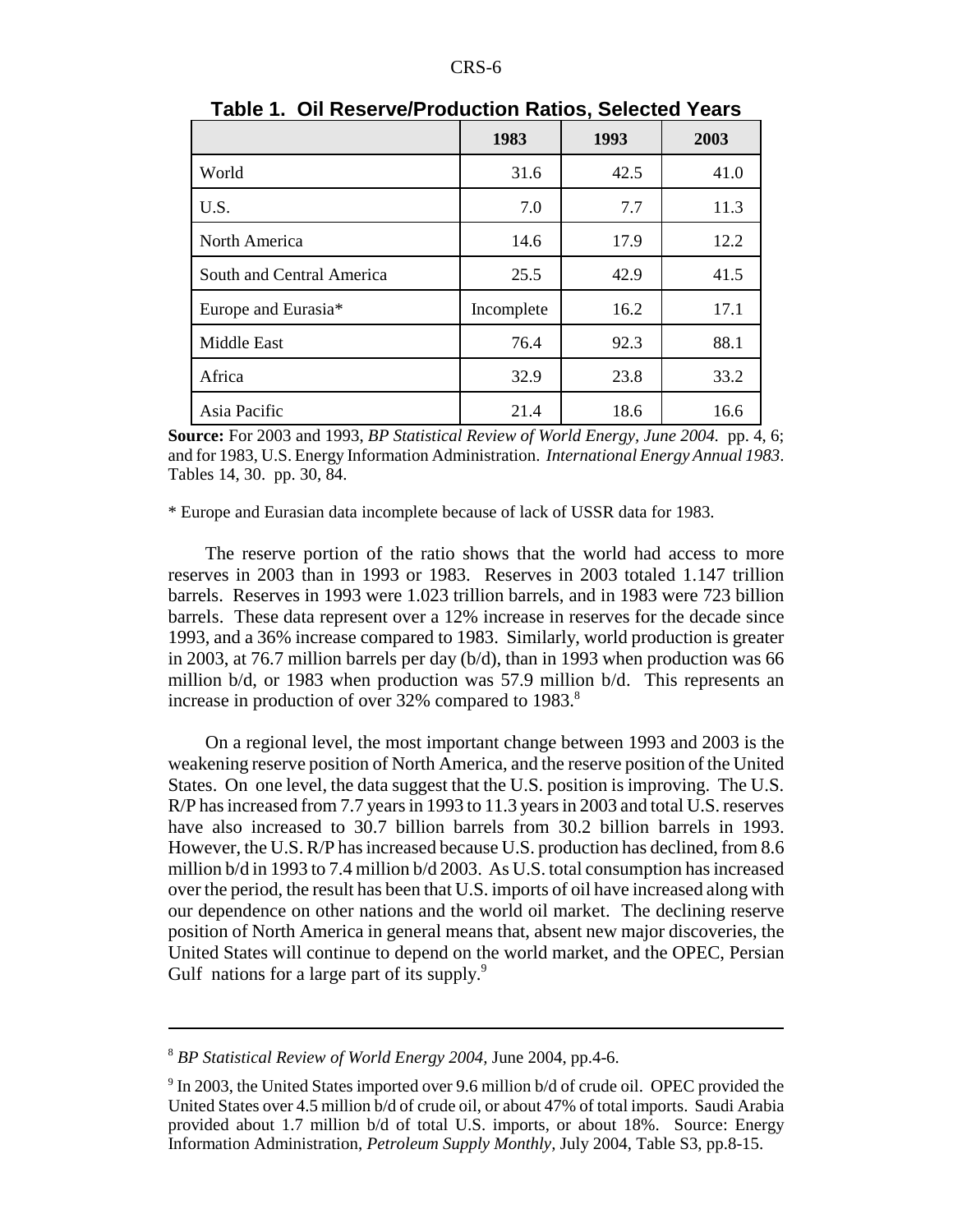|                           | 1983       | 1993 | 2003 |
|---------------------------|------------|------|------|
| World                     | 31.6       | 42.5 | 41.0 |
| U.S.                      | 7.0        | 7.7  | 11.3 |
| North America             | 14.6       | 17.9 | 12.2 |
| South and Central America | 25.5       | 42.9 | 41.5 |
| Europe and Eurasia*       | Incomplete | 16.2 | 17.1 |
| Middle East               | 76.4       | 92.3 | 88.1 |
| Africa                    | 32.9       | 23.8 | 33.2 |
| Asia Pacific              | 21.4       | 18.6 | 16.6 |

**Table 1. Oil Reserve/Production Ratios, Selected Years**

**Source:** For 2003 and 1993, *BP Statistical Review of World Energy, June 2004.* pp. 4, 6; and for 1983, U.S. Energy Information Administration. *International Energy Annual 1983*. Tables 14, 30. pp. 30, 84.

\* Europe and Eurasian data incomplete because of lack of USSR data for 1983.

The reserve portion of the ratio shows that the world had access to more reserves in 2003 than in 1993 or 1983. Reserves in 2003 totaled 1.147 trillion barrels. Reserves in 1993 were 1.023 trillion barrels, and in 1983 were 723 billion barrels. These data represent over a 12% increase in reserves for the decade since 1993, and a 36% increase compared to 1983. Similarly, world production is greater in 2003, at 76.7 million barrels per day (b/d), than in 1993 when production was 66 million b/d, or 1983 when production was 57.9 million b/d. This represents an increase in production of over 32% compared to 1983.<sup>8</sup>

On a regional level, the most important change between 1993 and 2003 is the weakening reserve position of North America, and the reserve position of the United States. On one level, the data suggest that the U.S. position is improving. The U.S. R/P has increased from 7.7 years in 1993 to 11.3 years in 2003 and total U.S. reserves have also increased to 30.7 billion barrels from 30.2 billion barrels in 1993. However, the U.S. R/P has increased because U.S. production has declined, from 8.6 million b/d in 1993 to 7.4 million b/d 2003. As U.S. total consumption has increased over the period, the result has been that U.S. imports of oil have increased along with our dependence on other nations and the world oil market. The declining reserve position of North America in general means that, absent new major discoveries, the United States will continue to depend on the world market, and the OPEC, Persian Gulf nations for a large part of its supply.<sup>9</sup>

<sup>8</sup> *BP Statistical Review of World Energy 2004,* June 2004, pp.4-6.

<sup>&</sup>lt;sup>9</sup> In 2003, the United States imported over 9.6 million b/d of crude oil. OPEC provided the United States over 4.5 million b/d of crude oil, or about 47% of total imports. Saudi Arabia provided about 1.7 million b/d of total U.S. imports, or about 18%. Source: Energy Information Administration, *Petroleum Supply Monthly,* July 2004, Table S3, pp.8-15.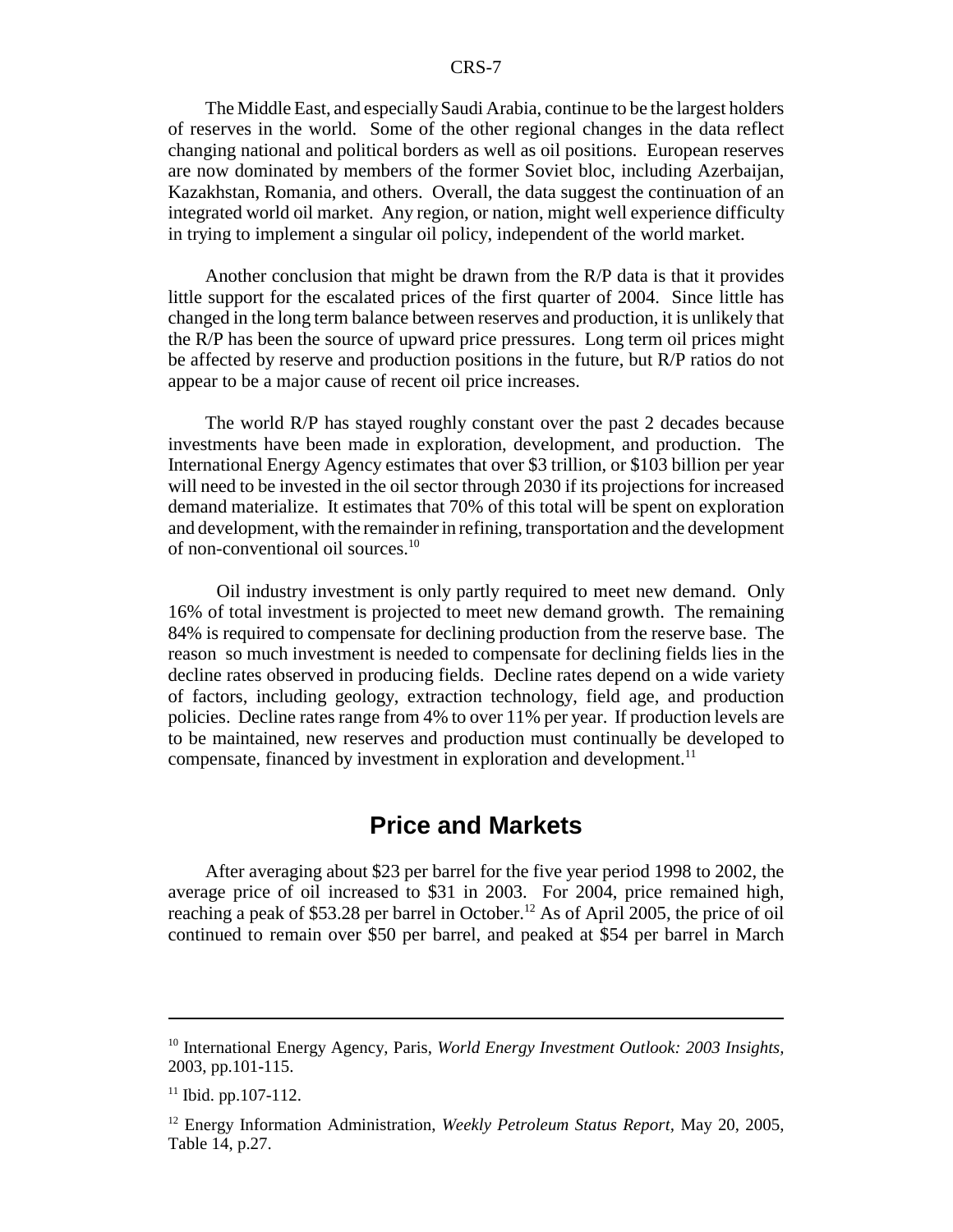The Middle East, and especially Saudi Arabia, continue to be the largest holders of reserves in the world. Some of the other regional changes in the data reflect changing national and political borders as well as oil positions. European reserves are now dominated by members of the former Soviet bloc, including Azerbaijan, Kazakhstan, Romania, and others. Overall, the data suggest the continuation of an integrated world oil market. Any region, or nation, might well experience difficulty in trying to implement a singular oil policy, independent of the world market.

Another conclusion that might be drawn from the R/P data is that it provides little support for the escalated prices of the first quarter of 2004. Since little has changed in the long term balance between reserves and production, it is unlikely that the R/P has been the source of upward price pressures. Long term oil prices might be affected by reserve and production positions in the future, but R/P ratios do not appear to be a major cause of recent oil price increases.

The world R/P has stayed roughly constant over the past 2 decades because investments have been made in exploration, development, and production. The International Energy Agency estimates that over \$3 trillion, or \$103 billion per year will need to be invested in the oil sector through 2030 if its projections for increased demand materialize. It estimates that 70% of this total will be spent on exploration and development, with the remainder in refining, transportation and the development of non-conventional oil sources.10

 Oil industry investment is only partly required to meet new demand. Only 16% of total investment is projected to meet new demand growth. The remaining 84% is required to compensate for declining production from the reserve base. The reason so much investment is needed to compensate for declining fields lies in the decline rates observed in producing fields. Decline rates depend on a wide variety of factors, including geology, extraction technology, field age, and production policies. Decline rates range from 4% to over 11% per year. If production levels are to be maintained, new reserves and production must continually be developed to compensate, financed by investment in exploration and development.<sup>11</sup>

## **Price and Markets**

After averaging about \$23 per barrel for the five year period 1998 to 2002, the average price of oil increased to \$31 in 2003. For 2004, price remained high, reaching a peak of \$53.28 per barrel in October.<sup>12</sup> As of April 2005, the price of oil continued to remain over \$50 per barrel, and peaked at \$54 per barrel in March

<sup>10</sup> International Energy Agency, Paris, *World Energy Investment Outlook: 2003 Insights,* 2003, pp.101-115.

 $11$  Ibid. pp.107-112.

<sup>12</sup> Energy Information Administration, *Weekly Petroleum Status Report,* May 20, 2005, Table 14, p.27.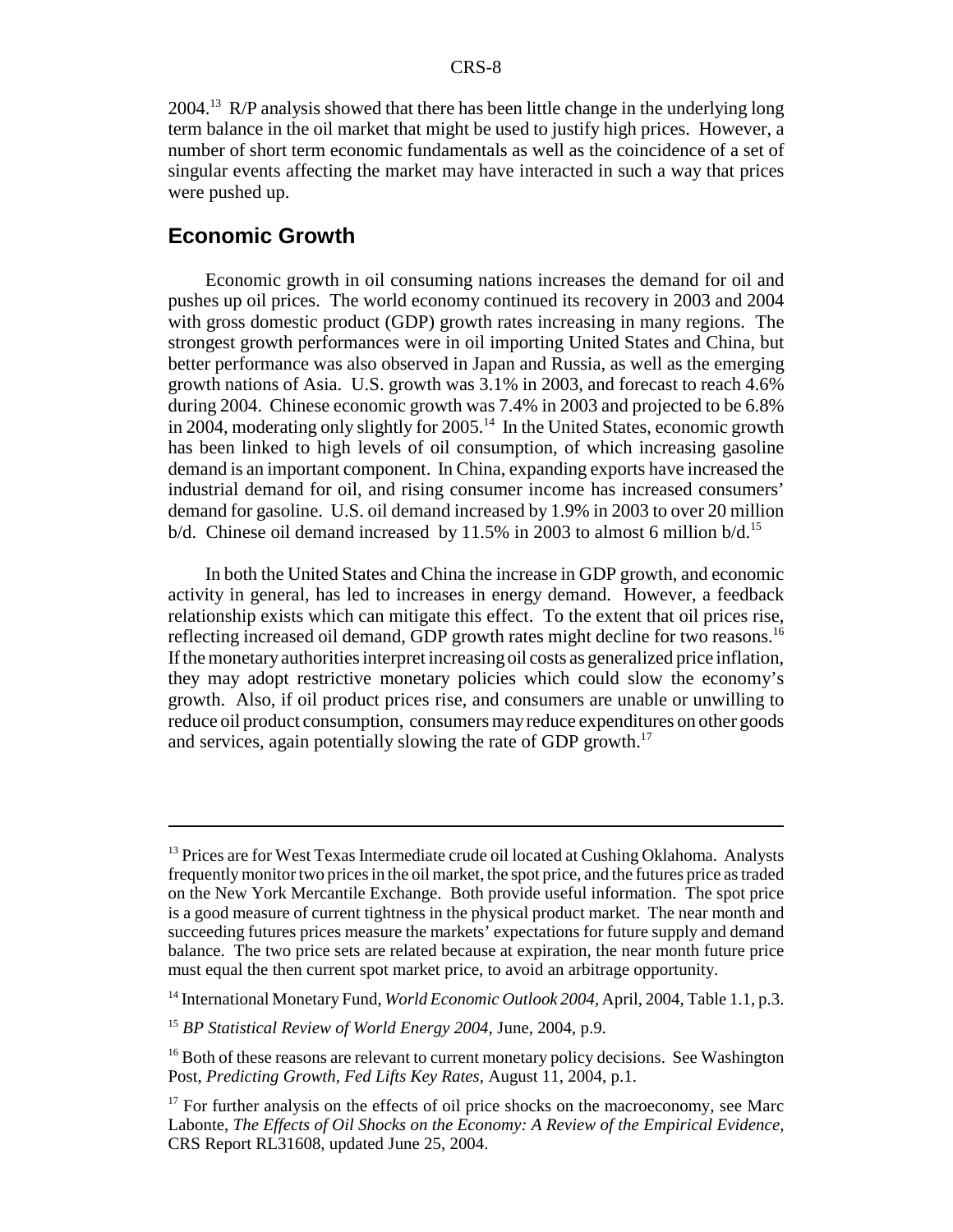2004.<sup>13</sup> R/P analysis showed that there has been little change in the underlying long term balance in the oil market that might be used to justify high prices. However, a number of short term economic fundamentals as well as the coincidence of a set of singular events affecting the market may have interacted in such a way that prices were pushed up.

#### **Economic Growth**

Economic growth in oil consuming nations increases the demand for oil and pushes up oil prices. The world economy continued its recovery in 2003 and 2004 with gross domestic product (GDP) growth rates increasing in many regions. The strongest growth performances were in oil importing United States and China, but better performance was also observed in Japan and Russia, as well as the emerging growth nations of Asia. U.S. growth was 3.1% in 2003, and forecast to reach 4.6% during 2004. Chinese economic growth was 7.4% in 2003 and projected to be 6.8% in 2004, moderating only slightly for 2005.<sup>14</sup> In the United States, economic growth has been linked to high levels of oil consumption, of which increasing gasoline demand is an important component. In China, expanding exports have increased the industrial demand for oil, and rising consumer income has increased consumers' demand for gasoline. U.S. oil demand increased by 1.9% in 2003 to over 20 million b/d. Chinese oil demand increased by 11.5% in 2003 to almost 6 million b/d.<sup>15</sup>

In both the United States and China the increase in GDP growth, and economic activity in general, has led to increases in energy demand. However, a feedback relationship exists which can mitigate this effect. To the extent that oil prices rise, reflecting increased oil demand, GDP growth rates might decline for two reasons.16 If the monetary authorities interpret increasing oil costs as generalized price inflation, they may adopt restrictive monetary policies which could slow the economy's growth. Also, if oil product prices rise, and consumers are unable or unwilling to reduce oil product consumption, consumers may reduce expenditures on other goods and services, again potentially slowing the rate of GDP growth.<sup>17</sup>

<sup>&</sup>lt;sup>13</sup> Prices are for West Texas Intermediate crude oil located at Cushing Oklahoma. Analysts frequently monitor two prices in the oil market, the spot price, and the futures price as traded on the New York Mercantile Exchange. Both provide useful information. The spot price is a good measure of current tightness in the physical product market. The near month and succeeding futures prices measure the markets' expectations for future supply and demand balance. The two price sets are related because at expiration, the near month future price must equal the then current spot market price, to avoid an arbitrage opportunity.

<sup>&</sup>lt;sup>14</sup> International Monetary Fund, *World Economic Outlook 2004*, April, 2004, Table 1.1, p.3.

<sup>15</sup> *BP Statistical Review of World Energy 2004,* June, 2004, p.9.

<sup>&</sup>lt;sup>16</sup> Both of these reasons are relevant to current monetary policy decisions. See Washington Post, *Predicting Growth, Fed Lifts Key Rates,* August 11, 2004, p.1.

 $17$  For further analysis on the effects of oil price shocks on the macroeconomy, see Marc Labonte, *The Effects of Oil Shocks on the Economy: A Review of the Empirical Evidence,* CRS Report RL31608, updated June 25, 2004.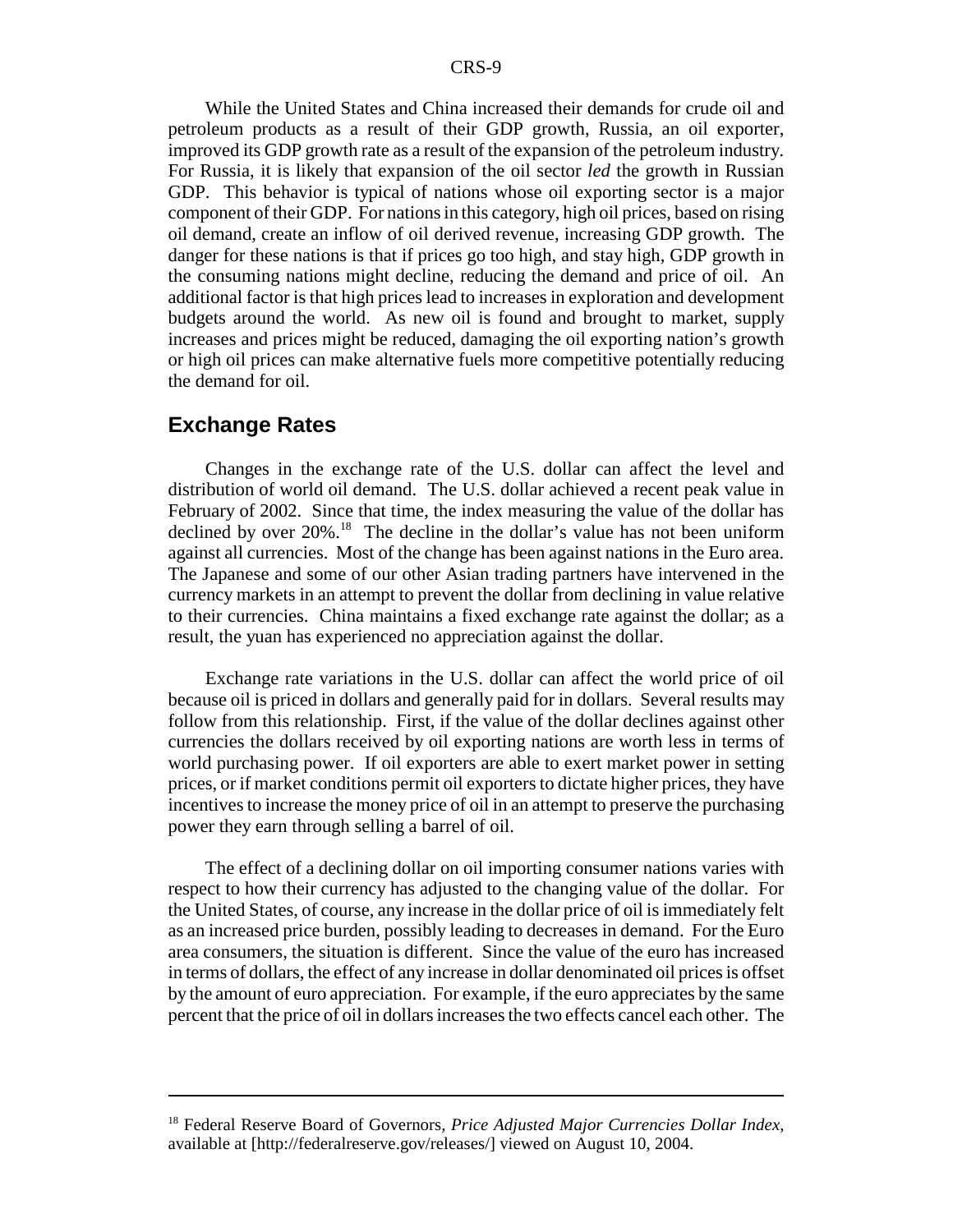While the United States and China increased their demands for crude oil and petroleum products as a result of their GDP growth, Russia, an oil exporter, improved its GDP growth rate as a result of the expansion of the petroleum industry. For Russia, it is likely that expansion of the oil sector *led* the growth in Russian GDP. This behavior is typical of nations whose oil exporting sector is a major component of their GDP. For nations in this category, high oil prices, based on rising oil demand, create an inflow of oil derived revenue, increasing GDP growth. The danger for these nations is that if prices go too high, and stay high, GDP growth in the consuming nations might decline, reducing the demand and price of oil. An additional factor is that high prices lead to increases in exploration and development budgets around the world. As new oil is found and brought to market, supply increases and prices might be reduced, damaging the oil exporting nation's growth or high oil prices can make alternative fuels more competitive potentially reducing the demand for oil.

#### **Exchange Rates**

Changes in the exchange rate of the U.S. dollar can affect the level and distribution of world oil demand. The U.S. dollar achieved a recent peak value in February of 2002. Since that time, the index measuring the value of the dollar has declined by over 20%.<sup>18</sup> The decline in the dollar's value has not been uniform against all currencies. Most of the change has been against nations in the Euro area. The Japanese and some of our other Asian trading partners have intervened in the currency markets in an attempt to prevent the dollar from declining in value relative to their currencies. China maintains a fixed exchange rate against the dollar; as a result, the yuan has experienced no appreciation against the dollar.

Exchange rate variations in the U.S. dollar can affect the world price of oil because oil is priced in dollars and generally paid for in dollars. Several results may follow from this relationship. First, if the value of the dollar declines against other currencies the dollars received by oil exporting nations are worth less in terms of world purchasing power. If oil exporters are able to exert market power in setting prices, or if market conditions permit oil exporters to dictate higher prices, they have incentives to increase the money price of oil in an attempt to preserve the purchasing power they earn through selling a barrel of oil.

The effect of a declining dollar on oil importing consumer nations varies with respect to how their currency has adjusted to the changing value of the dollar. For the United States, of course, any increase in the dollar price of oil is immediately felt as an increased price burden, possibly leading to decreases in demand. For the Euro area consumers, the situation is different. Since the value of the euro has increased in terms of dollars, the effect of any increase in dollar denominated oil prices is offset by the amount of euro appreciation. For example, if the euro appreciates by the same percent that the price of oil in dollars increases the two effects cancel each other. The

<sup>18</sup> Federal Reserve Board of Governors, *Price Adjusted Major Currencies Dollar Index,* available at [http://federalreserve.gov/releases/] viewed on August 10, 2004.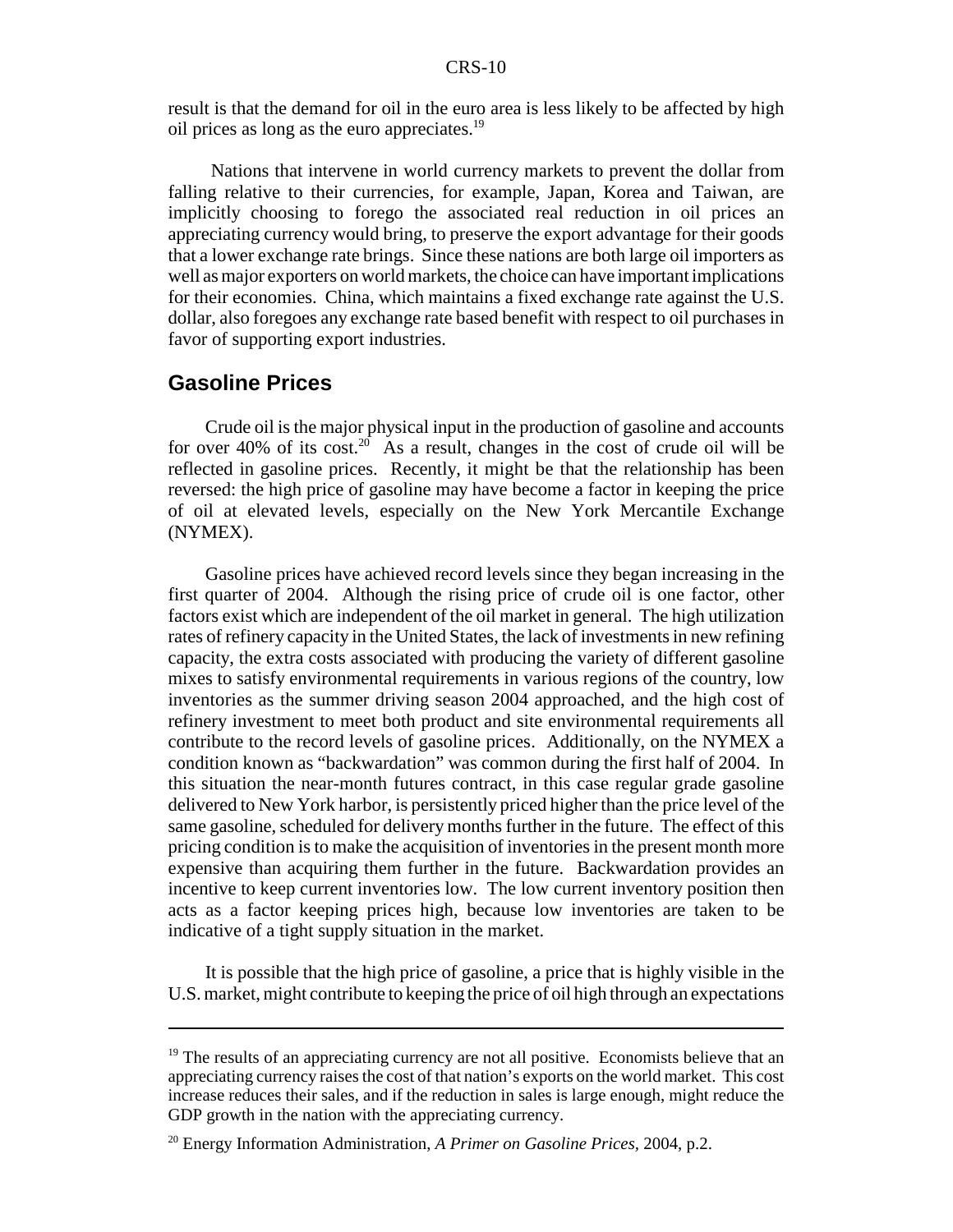result is that the demand for oil in the euro area is less likely to be affected by high oil prices as long as the euro appreciates.19

 Nations that intervene in world currency markets to prevent the dollar from falling relative to their currencies, for example, Japan, Korea and Taiwan, are implicitly choosing to forego the associated real reduction in oil prices an appreciating currency would bring, to preserve the export advantage for their goods that a lower exchange rate brings. Since these nations are both large oil importers as well as major exporters on world markets, the choice can have important implications for their economies. China, which maintains a fixed exchange rate against the U.S. dollar, also foregoes any exchange rate based benefit with respect to oil purchases in favor of supporting export industries.

#### **Gasoline Prices**

Crude oil is the major physical input in the production of gasoline and accounts for over 40% of its cost.<sup>20</sup> As a result, changes in the cost of crude oil will be reflected in gasoline prices. Recently, it might be that the relationship has been reversed: the high price of gasoline may have become a factor in keeping the price of oil at elevated levels, especially on the New York Mercantile Exchange (NYMEX).

Gasoline prices have achieved record levels since they began increasing in the first quarter of 2004. Although the rising price of crude oil is one factor, other factors exist which are independent of the oil market in general. The high utilization rates of refinery capacity in the United States, the lack of investments in new refining capacity, the extra costs associated with producing the variety of different gasoline mixes to satisfy environmental requirements in various regions of the country, low inventories as the summer driving season 2004 approached, and the high cost of refinery investment to meet both product and site environmental requirements all contribute to the record levels of gasoline prices. Additionally, on the NYMEX a condition known as "backwardation" was common during the first half of 2004. In this situation the near-month futures contract, in this case regular grade gasoline delivered to New York harbor, is persistently priced higher than the price level of the same gasoline, scheduled for delivery months further in the future. The effect of this pricing condition is to make the acquisition of inventories in the present month more expensive than acquiring them further in the future. Backwardation provides an incentive to keep current inventories low. The low current inventory position then acts as a factor keeping prices high, because low inventories are taken to be indicative of a tight supply situation in the market.

It is possible that the high price of gasoline, a price that is highly visible in the U.S. market, might contribute to keeping the price of oil high through an expectations

 $19$ <sup>19</sup> The results of an appreciating currency are not all positive. Economists believe that an appreciating currency raises the cost of that nation's exports on the world market. This cost increase reduces their sales, and if the reduction in sales is large enough, might reduce the GDP growth in the nation with the appreciating currency.

<sup>20</sup> Energy Information Administration, *A Primer on Gasoline Prices,* 2004, p.2.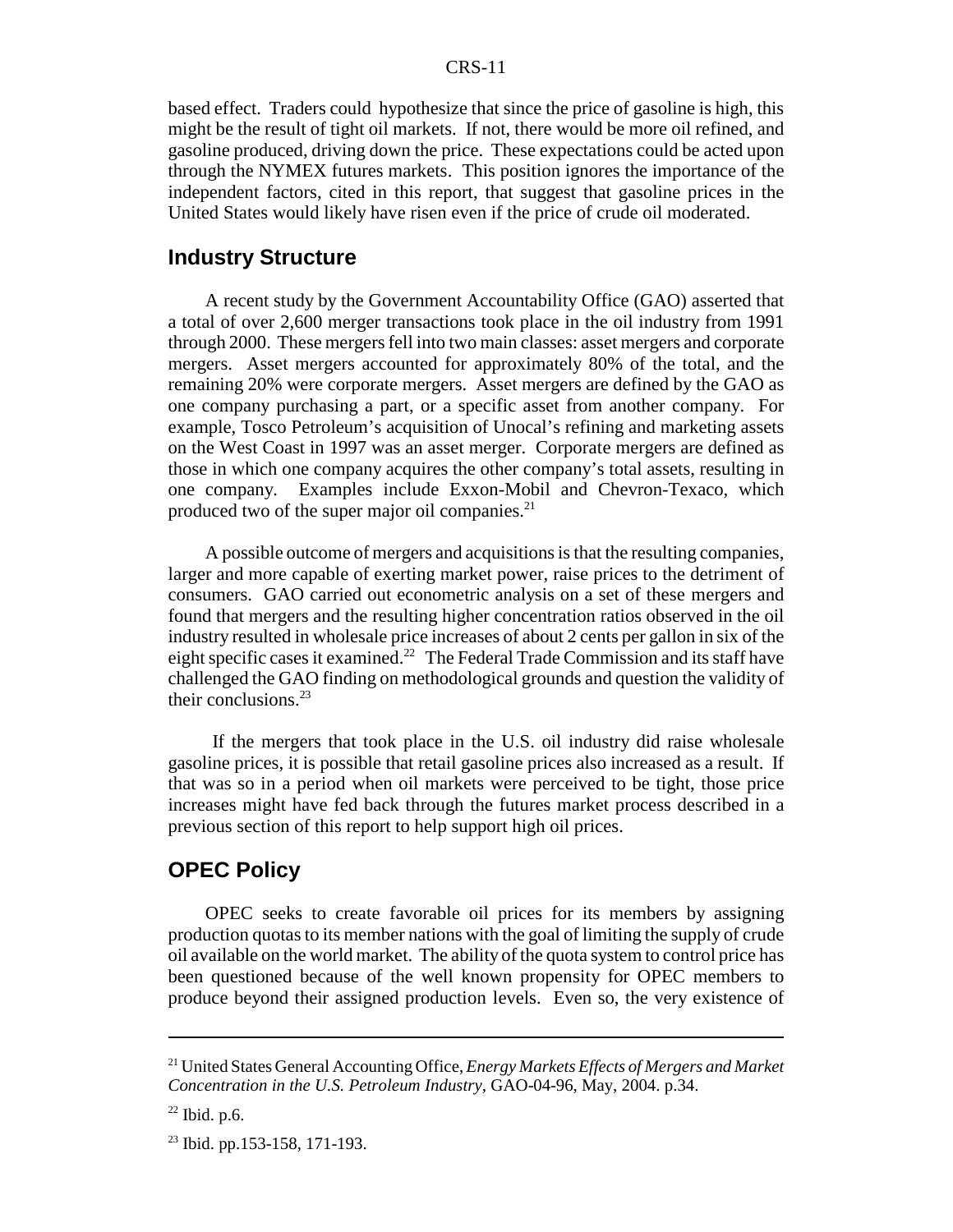based effect. Traders could hypothesize that since the price of gasoline is high, this might be the result of tight oil markets. If not, there would be more oil refined, and gasoline produced, driving down the price. These expectations could be acted upon through the NYMEX futures markets. This position ignores the importance of the independent factors, cited in this report, that suggest that gasoline prices in the United States would likely have risen even if the price of crude oil moderated.

#### **Industry Structure**

A recent study by the Government Accountability Office (GAO) asserted that a total of over 2,600 merger transactions took place in the oil industry from 1991 through 2000. These mergers fell into two main classes: asset mergers and corporate mergers. Asset mergers accounted for approximately 80% of the total, and the remaining 20% were corporate mergers. Asset mergers are defined by the GAO as one company purchasing a part, or a specific asset from another company. For example, Tosco Petroleum's acquisition of Unocal's refining and marketing assets on the West Coast in 1997 was an asset merger. Corporate mergers are defined as those in which one company acquires the other company's total assets, resulting in one company. Examples include Exxon-Mobil and Chevron-Texaco, which produced two of the super major oil companies.<sup>21</sup>

A possible outcome of mergers and acquisitions is that the resulting companies, larger and more capable of exerting market power, raise prices to the detriment of consumers. GAO carried out econometric analysis on a set of these mergers and found that mergers and the resulting higher concentration ratios observed in the oil industry resulted in wholesale price increases of about 2 cents per gallon in six of the eight specific cases it examined.<sup>22</sup> The Federal Trade Commission and its staff have challenged the GAO finding on methodological grounds and question the validity of their conclusions. $23$ 

 If the mergers that took place in the U.S. oil industry did raise wholesale gasoline prices, it is possible that retail gasoline prices also increased as a result. If that was so in a period when oil markets were perceived to be tight, those price increases might have fed back through the futures market process described in a previous section of this report to help support high oil prices.

#### **OPEC Policy**

OPEC seeks to create favorable oil prices for its members by assigning production quotas to its member nations with the goal of limiting the supply of crude oil available on the world market. The ability of the quota system to control price has been questioned because of the well known propensity for OPEC members to produce beyond their assigned production levels. Even so, the very existence of

<sup>21</sup> United States General Accounting Office, *Energy Markets Effects of Mergers and Market Concentration in the U.S. Petroleum Industry,* GAO-04-96, May, 2004. p.34.

 $22$  Ibid. p.6.

<sup>23</sup> Ibid. pp.153-158, 171-193.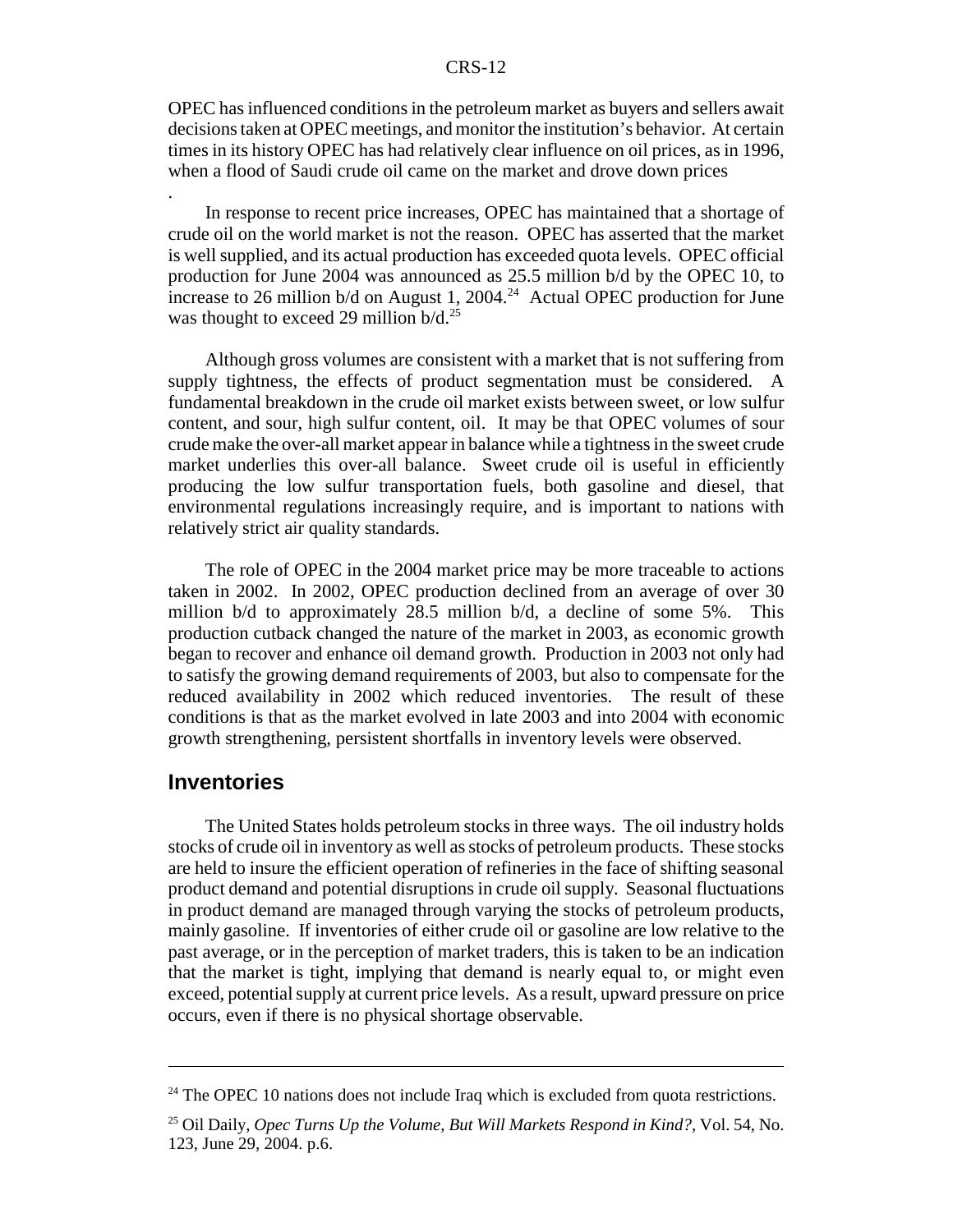OPEC has influenced conditions in the petroleum market as buyers and sellers await decisions taken at OPEC meetings, and monitor the institution's behavior. At certain times in its history OPEC has had relatively clear influence on oil prices, as in 1996, when a flood of Saudi crude oil came on the market and drove down prices

In response to recent price increases, OPEC has maintained that a shortage of crude oil on the world market is not the reason. OPEC has asserted that the market is well supplied, and its actual production has exceeded quota levels. OPEC official production for June 2004 was announced as 25.5 million b/d by the OPEC 10, to increase to 26 million  $b/d$  on August 1, 2004.<sup>24</sup> Actual OPEC production for June was thought to exceed 29 million  $b/d.<sup>25</sup>$ 

Although gross volumes are consistent with a market that is not suffering from supply tightness, the effects of product segmentation must be considered. A fundamental breakdown in the crude oil market exists between sweet, or low sulfur content, and sour, high sulfur content, oil. It may be that OPEC volumes of sour crude make the over-all market appear in balance while a tightness in the sweet crude market underlies this over-all balance. Sweet crude oil is useful in efficiently producing the low sulfur transportation fuels, both gasoline and diesel, that environmental regulations increasingly require, and is important to nations with relatively strict air quality standards.

The role of OPEC in the 2004 market price may be more traceable to actions taken in 2002. In 2002, OPEC production declined from an average of over 30 million b/d to approximately 28.5 million b/d, a decline of some 5%. This production cutback changed the nature of the market in 2003, as economic growth began to recover and enhance oil demand growth. Production in 2003 not only had to satisfy the growing demand requirements of 2003, but also to compensate for the reduced availability in 2002 which reduced inventories. The result of these conditions is that as the market evolved in late 2003 and into 2004 with economic growth strengthening, persistent shortfalls in inventory levels were observed.

#### **Inventories**

.

The United States holds petroleum stocks in three ways. The oil industry holds stocks of crude oil in inventory as well as stocks of petroleum products. These stocks are held to insure the efficient operation of refineries in the face of shifting seasonal product demand and potential disruptions in crude oil supply. Seasonal fluctuations in product demand are managed through varying the stocks of petroleum products, mainly gasoline. If inventories of either crude oil or gasoline are low relative to the past average, or in the perception of market traders, this is taken to be an indication that the market is tight, implying that demand is nearly equal to, or might even exceed, potential supply at current price levels. As a result, upward pressure on price occurs, even if there is no physical shortage observable.

 $24$  The OPEC 10 nations does not include Iraq which is excluded from quota restrictions.

<sup>25</sup> Oil Daily, *Opec Turns Up the Volume, But Will Markets Respond in Kind?,* Vol. 54, No. 123, June 29, 2004. p.6.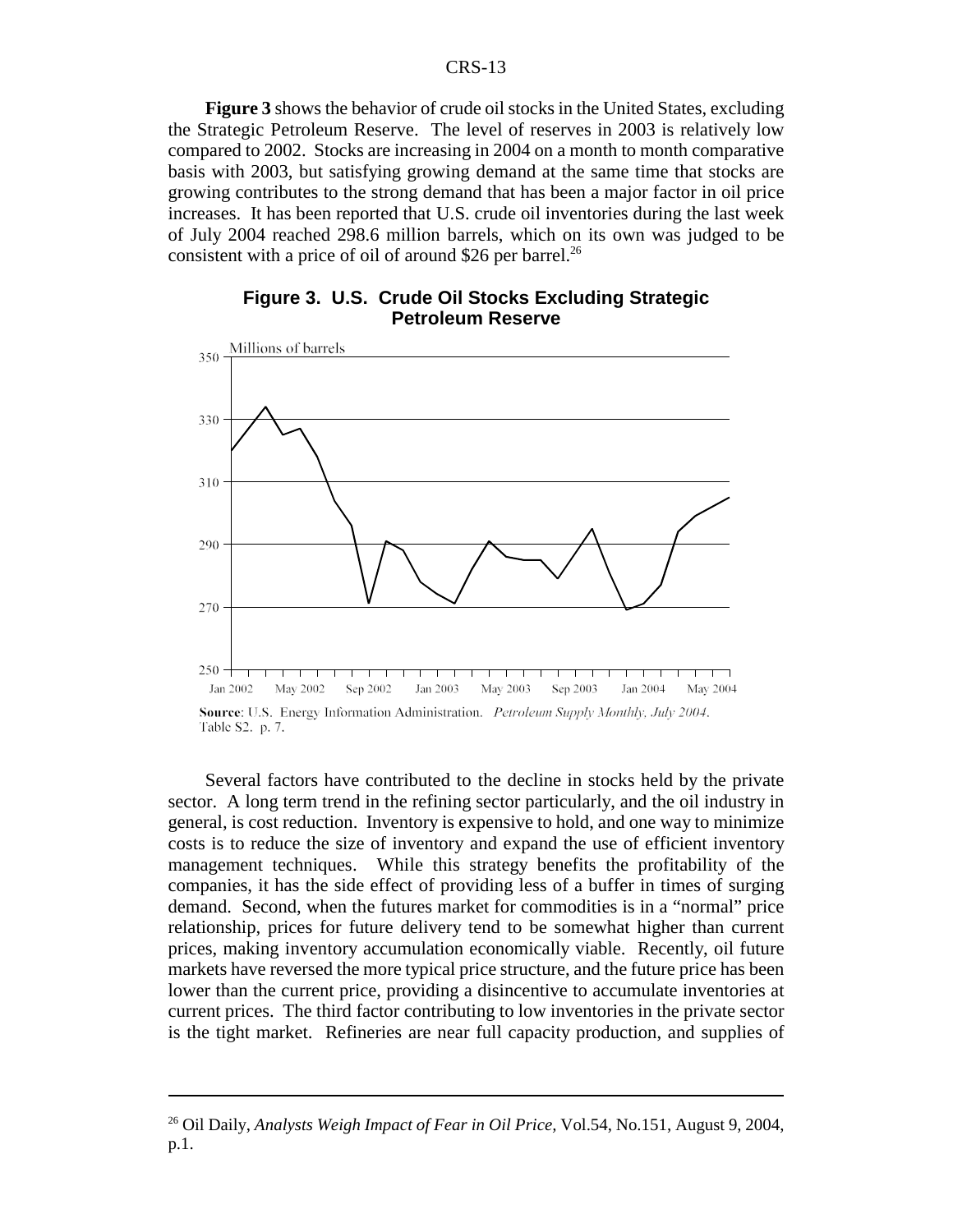**Figure 3** shows the behavior of crude oil stocks in the United States, excluding the Strategic Petroleum Reserve. The level of reserves in 2003 is relatively low compared to 2002. Stocks are increasing in 2004 on a month to month comparative basis with 2003, but satisfying growing demand at the same time that stocks are growing contributes to the strong demand that has been a major factor in oil price increases. It has been reported that U.S. crude oil inventories during the last week of July 2004 reached 298.6 million barrels, which on its own was judged to be consistent with a price of oil of around \$26 per barrel.<sup>26</sup>





Several factors have contributed to the decline in stocks held by the private sector. A long term trend in the refining sector particularly, and the oil industry in general, is cost reduction. Inventory is expensive to hold, and one way to minimize costs is to reduce the size of inventory and expand the use of efficient inventory management techniques. While this strategy benefits the profitability of the companies, it has the side effect of providing less of a buffer in times of surging demand. Second, when the futures market for commodities is in a "normal" price relationship, prices for future delivery tend to be somewhat higher than current prices, making inventory accumulation economically viable. Recently, oil future markets have reversed the more typical price structure, and the future price has been lower than the current price, providing a disincentive to accumulate inventories at current prices. The third factor contributing to low inventories in the private sector is the tight market. Refineries are near full capacity production, and supplies of

<sup>26</sup> Oil Daily, *Analysts Weigh Impact of Fear in Oil Price,* Vol.54, No.151, August 9, 2004, p.1.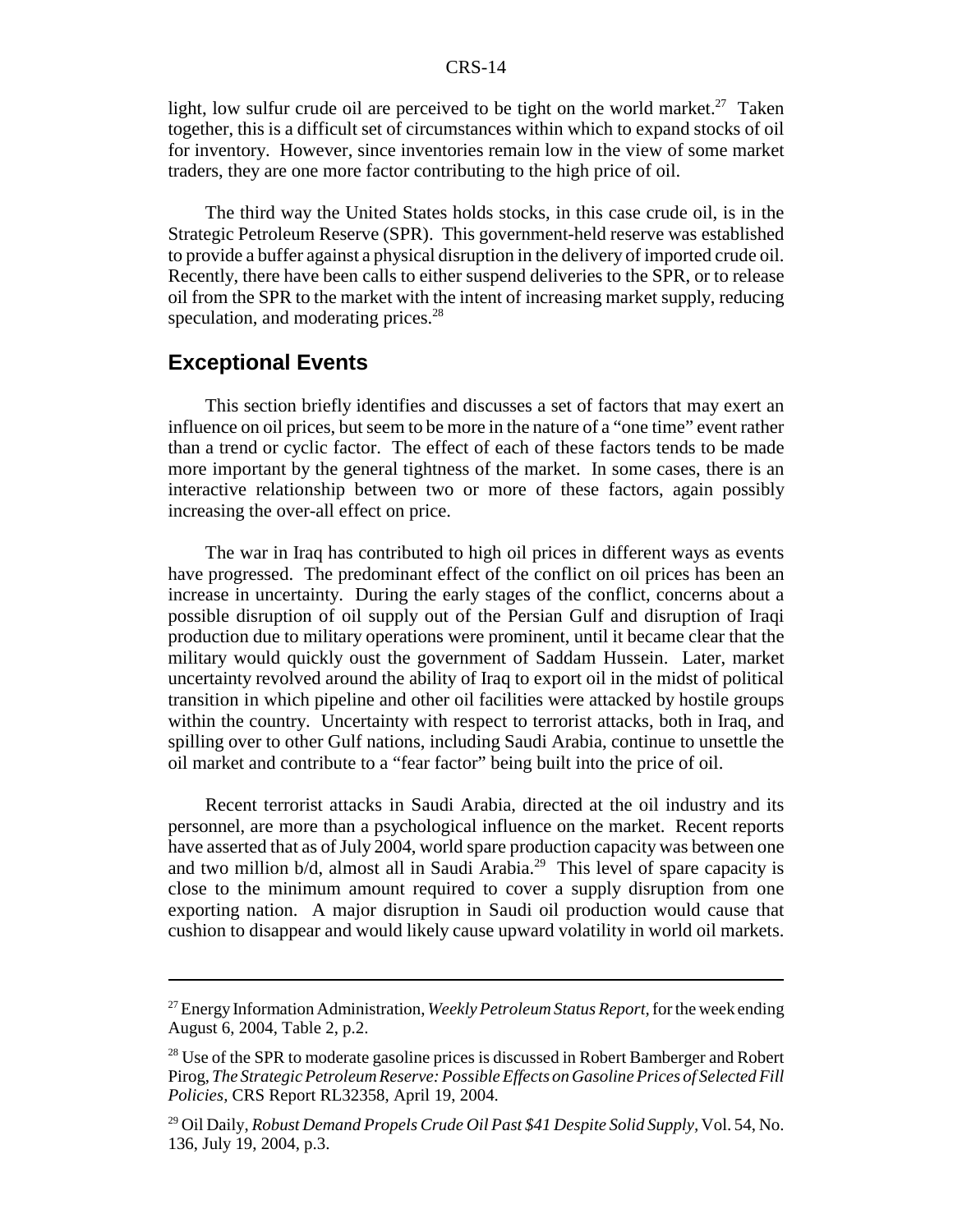light, low sulfur crude oil are perceived to be tight on the world market.<sup>27</sup> Taken together, this is a difficult set of circumstances within which to expand stocks of oil for inventory. However, since inventories remain low in the view of some market traders, they are one more factor contributing to the high price of oil.

The third way the United States holds stocks, in this case crude oil, is in the Strategic Petroleum Reserve (SPR). This government-held reserve was established to provide a buffer against a physical disruption in the delivery of imported crude oil. Recently, there have been calls to either suspend deliveries to the SPR, or to release oil from the SPR to the market with the intent of increasing market supply, reducing speculation, and moderating prices.<sup>28</sup>

### **Exceptional Events**

This section briefly identifies and discusses a set of factors that may exert an influence on oil prices, but seem to be more in the nature of a "one time" event rather than a trend or cyclic factor. The effect of each of these factors tends to be made more important by the general tightness of the market. In some cases, there is an interactive relationship between two or more of these factors, again possibly increasing the over-all effect on price.

The war in Iraq has contributed to high oil prices in different ways as events have progressed. The predominant effect of the conflict on oil prices has been an increase in uncertainty. During the early stages of the conflict, concerns about a possible disruption of oil supply out of the Persian Gulf and disruption of Iraqi production due to military operations were prominent, until it became clear that the military would quickly oust the government of Saddam Hussein. Later, market uncertainty revolved around the ability of Iraq to export oil in the midst of political transition in which pipeline and other oil facilities were attacked by hostile groups within the country. Uncertainty with respect to terrorist attacks, both in Iraq, and spilling over to other Gulf nations, including Saudi Arabia, continue to unsettle the oil market and contribute to a "fear factor" being built into the price of oil.

Recent terrorist attacks in Saudi Arabia, directed at the oil industry and its personnel, are more than a psychological influence on the market. Recent reports have asserted that as of July 2004, world spare production capacity was between one and two million b/d, almost all in Saudi Arabia.29 This level of spare capacity is close to the minimum amount required to cover a supply disruption from one exporting nation. A major disruption in Saudi oil production would cause that cushion to disappear and would likely cause upward volatility in world oil markets.

<sup>27</sup> Energy Information Administration, *Weekly Petroleum Status Report,* for the week ending August 6, 2004, Table 2, p.2.

<sup>&</sup>lt;sup>28</sup> Use of the SPR to moderate gasoline prices is discussed in Robert Bamberger and Robert Pirog, *The Strategic Petroleum Reserve: Possible Effects on Gasoline Prices of Selected Fill Policies,* CRS Report RL32358, April 19, 2004.

<sup>29</sup> Oil Daily, *Robust Demand Propels Crude Oil Past \$41 Despite Solid Supply,* Vol. 54, No. 136, July 19, 2004, p.3.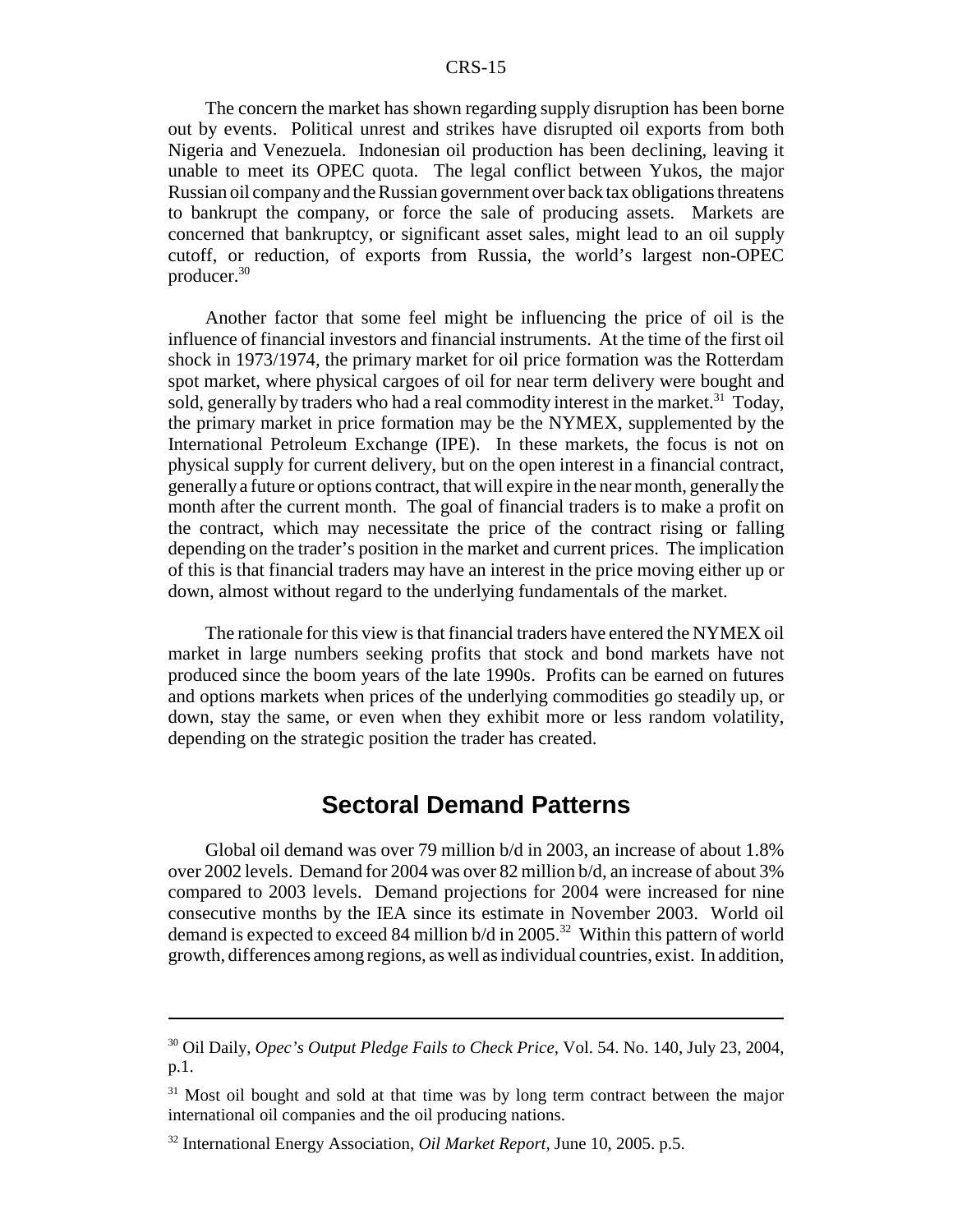The concern the market has shown regarding supply disruption has been borne out by events. Political unrest and strikes have disrupted oil exports from both Nigeria and Venezuela. Indonesian oil production has been declining, leaving it unable to meet its OPEC quota. The legal conflict between Yukos, the major Russian oil company and the Russian government over back tax obligations threatens to bankrupt the company, or force the sale of producing assets. Markets are concerned that bankruptcy, or significant asset sales, might lead to an oil supply cutoff, or reduction, of exports from Russia, the world's largest non-OPEC producer.30

Another factor that some feel might be influencing the price of oil is the influence of financial investors and financial instruments. At the time of the first oil shock in 1973/1974, the primary market for oil price formation was the Rotterdam spot market, where physical cargoes of oil for near term delivery were bought and sold, generally by traders who had a real commodity interest in the market.<sup>31</sup> Today, the primary market in price formation may be the NYMEX, supplemented by the International Petroleum Exchange (IPE). In these markets, the focus is not on physical supply for current delivery, but on the open interest in a financial contract, generally a future or options contract, that will expire in the near month, generally the month after the current month. The goal of financial traders is to make a profit on the contract, which may necessitate the price of the contract rising or falling depending on the trader's position in the market and current prices. The implication of this is that financial traders may have an interest in the price moving either up or down, almost without regard to the underlying fundamentals of the market.

The rationale for this view is that financial traders have entered the NYMEX oil market in large numbers seeking profits that stock and bond markets have not produced since the boom years of the late 1990s. Profits can be earned on futures and options markets when prices of the underlying commodities go steadily up, or down, stay the same, or even when they exhibit more or less random volatility, depending on the strategic position the trader has created.

# **Sectoral Demand Patterns**

Global oil demand was over 79 million b/d in 2003, an increase of about 1.8% over 2002 levels. Demand for 2004 was over 82 million b/d, an increase of about 3% compared to 2003 levels. Demand projections for 2004 were increased for nine consecutive months by the IEA since its estimate in November 2003. World oil demand is expected to exceed 84 million  $b/d$  in 2005.<sup>32</sup> Within this pattern of world growth, differences among regions, as well as individual countries, exist. In addition,

<sup>30</sup> Oil Daily, *Opec's Output Pledge Fails to Check Price,* Vol. 54. No. 140, July 23, 2004, p.1.

<sup>&</sup>lt;sup>31</sup> Most oil bought and sold at that time was by long term contract between the major international oil companies and the oil producing nations.

<sup>32</sup> International Energy Association, *Oil Market Report,* June 10, 2005. p.5.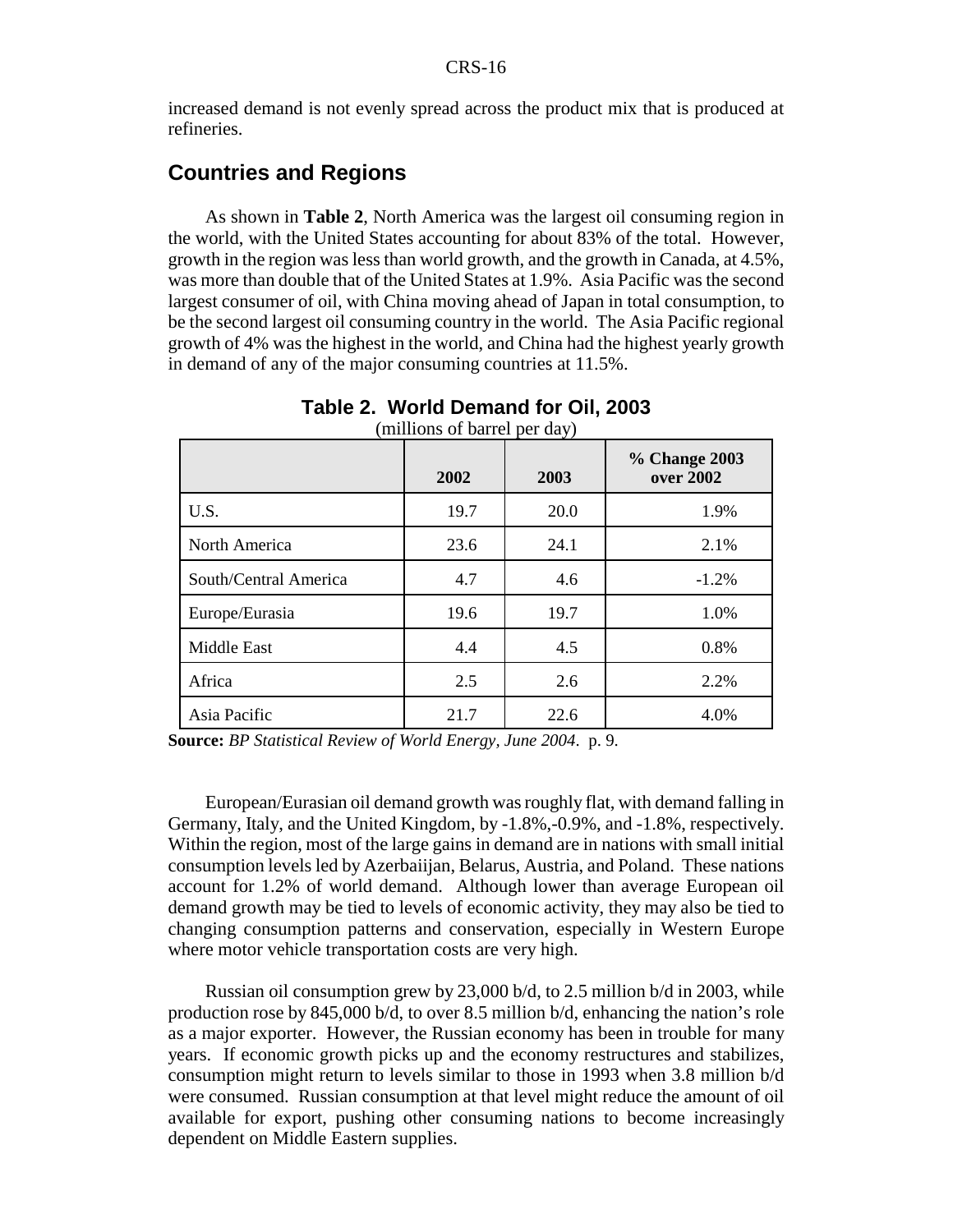increased demand is not evenly spread across the product mix that is produced at refineries.

# **Countries and Regions**

As shown in **Table 2**, North America was the largest oil consuming region in the world, with the United States accounting for about 83% of the total. However, growth in the region was less than world growth, and the growth in Canada, at 4.5%, was more than double that of the United States at 1.9%. Asia Pacific was the second largest consumer of oil, with China moving ahead of Japan in total consumption, to be the second largest oil consuming country in the world. The Asia Pacific regional growth of 4% was the highest in the world, and China had the highest yearly growth in demand of any of the major consuming countries at 11.5%.

|                       | $\mu$ $\mu$ $\mu$ $\sigma$ $\mu$ $\sigma$ $\mu$ $\sigma$ $\mu$ $\sigma$<br>2002 | 2003 | % Change 2003<br>over 2002 |
|-----------------------|---------------------------------------------------------------------------------|------|----------------------------|
| U.S.                  | 19.7                                                                            | 20.0 | 1.9%                       |
| North America         | 23.6                                                                            | 24.1 | 2.1%                       |
| South/Central America | 4.7                                                                             | 4.6  | $-1.2%$                    |
| Europe/Eurasia        | 19.6                                                                            | 19.7 | 1.0%                       |
| Middle East           | 4.4                                                                             | 4.5  | 0.8%                       |
| Africa                | 2.5                                                                             | 2.6  | 2.2%                       |
| Asia Pacific          | 21.7                                                                            | 22.6 | 4.0%                       |

**Table 2. World Demand for Oil, 2003** (millions of barrel per day)

**Source:** *BP Statistical Review of World Energy, June 2004*. p. 9.

European/Eurasian oil demand growth was roughly flat, with demand falling in Germany, Italy, and the United Kingdom, by -1.8%,-0.9%, and -1.8%, respectively. Within the region, most of the large gains in demand are in nations with small initial consumption levels led by Azerbaiijan, Belarus, Austria, and Poland. These nations account for 1.2% of world demand. Although lower than average European oil demand growth may be tied to levels of economic activity, they may also be tied to changing consumption patterns and conservation, especially in Western Europe where motor vehicle transportation costs are very high.

Russian oil consumption grew by 23,000 b/d, to 2.5 million b/d in 2003, while production rose by 845,000 b/d, to over 8.5 million b/d, enhancing the nation's role as a major exporter. However, the Russian economy has been in trouble for many years. If economic growth picks up and the economy restructures and stabilizes, consumption might return to levels similar to those in 1993 when 3.8 million b/d were consumed. Russian consumption at that level might reduce the amount of oil available for export, pushing other consuming nations to become increasingly dependent on Middle Eastern supplies.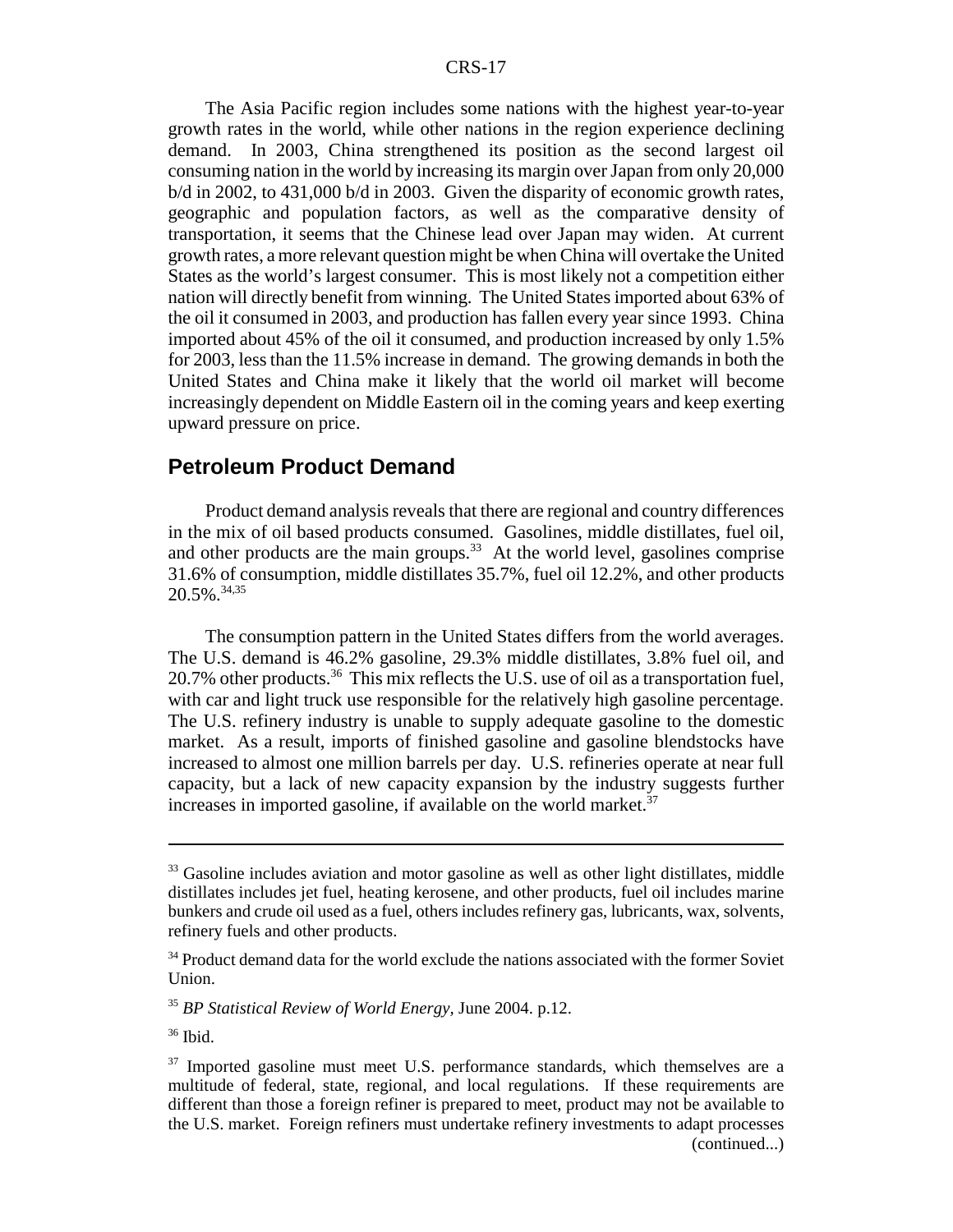The Asia Pacific region includes some nations with the highest year-to-year growth rates in the world, while other nations in the region experience declining demand. In 2003, China strengthened its position as the second largest oil consuming nation in the world by increasing its margin over Japan from only 20,000 b/d in 2002, to 431,000 b/d in 2003. Given the disparity of economic growth rates, geographic and population factors, as well as the comparative density of transportation, it seems that the Chinese lead over Japan may widen. At current growth rates, a more relevant question might be when China will overtake the United States as the world's largest consumer. This is most likely not a competition either nation will directly benefit from winning. The United States imported about 63% of the oil it consumed in 2003, and production has fallen every year since 1993. China imported about 45% of the oil it consumed, and production increased by only 1.5% for 2003, less than the 11.5% increase in demand. The growing demands in both the United States and China make it likely that the world oil market will become increasingly dependent on Middle Eastern oil in the coming years and keep exerting upward pressure on price.

#### **Petroleum Product Demand**

Product demand analysis reveals that there are regional and country differences in the mix of oil based products consumed. Gasolines, middle distillates, fuel oil, and other products are the main groups.<sup>33</sup> At the world level, gasolines comprise 31.6% of consumption, middle distillates 35.7%, fuel oil 12.2%, and other products 20.5%.34,35

The consumption pattern in the United States differs from the world averages. The U.S. demand is 46.2% gasoline, 29.3% middle distillates, 3.8% fuel oil, and 20.7% other products.<sup>36</sup> This mix reflects the U.S. use of oil as a transportation fuel, with car and light truck use responsible for the relatively high gasoline percentage. The U.S. refinery industry is unable to supply adequate gasoline to the domestic market. As a result, imports of finished gasoline and gasoline blendstocks have increased to almost one million barrels per day. U.S. refineries operate at near full capacity, but a lack of new capacity expansion by the industry suggests further increases in imported gasoline, if available on the world market. $37$ 

<sup>&</sup>lt;sup>33</sup> Gasoline includes aviation and motor gasoline as well as other light distillates, middle distillates includes jet fuel, heating kerosene, and other products, fuel oil includes marine bunkers and crude oil used as a fuel, others includes refinery gas, lubricants, wax, solvents, refinery fuels and other products.

<sup>&</sup>lt;sup>34</sup> Product demand data for the world exclude the nations associated with the former Soviet Union.

<sup>35</sup> *BP Statistical Review of World Energy,* June 2004. p.12.

 $36$  Ibid.

<sup>&</sup>lt;sup>37</sup> Imported gasoline must meet U.S. performance standards, which themselves are a multitude of federal, state, regional, and local regulations. If these requirements are different than those a foreign refiner is prepared to meet, product may not be available to the U.S. market. Foreign refiners must undertake refinery investments to adapt processes (continued...)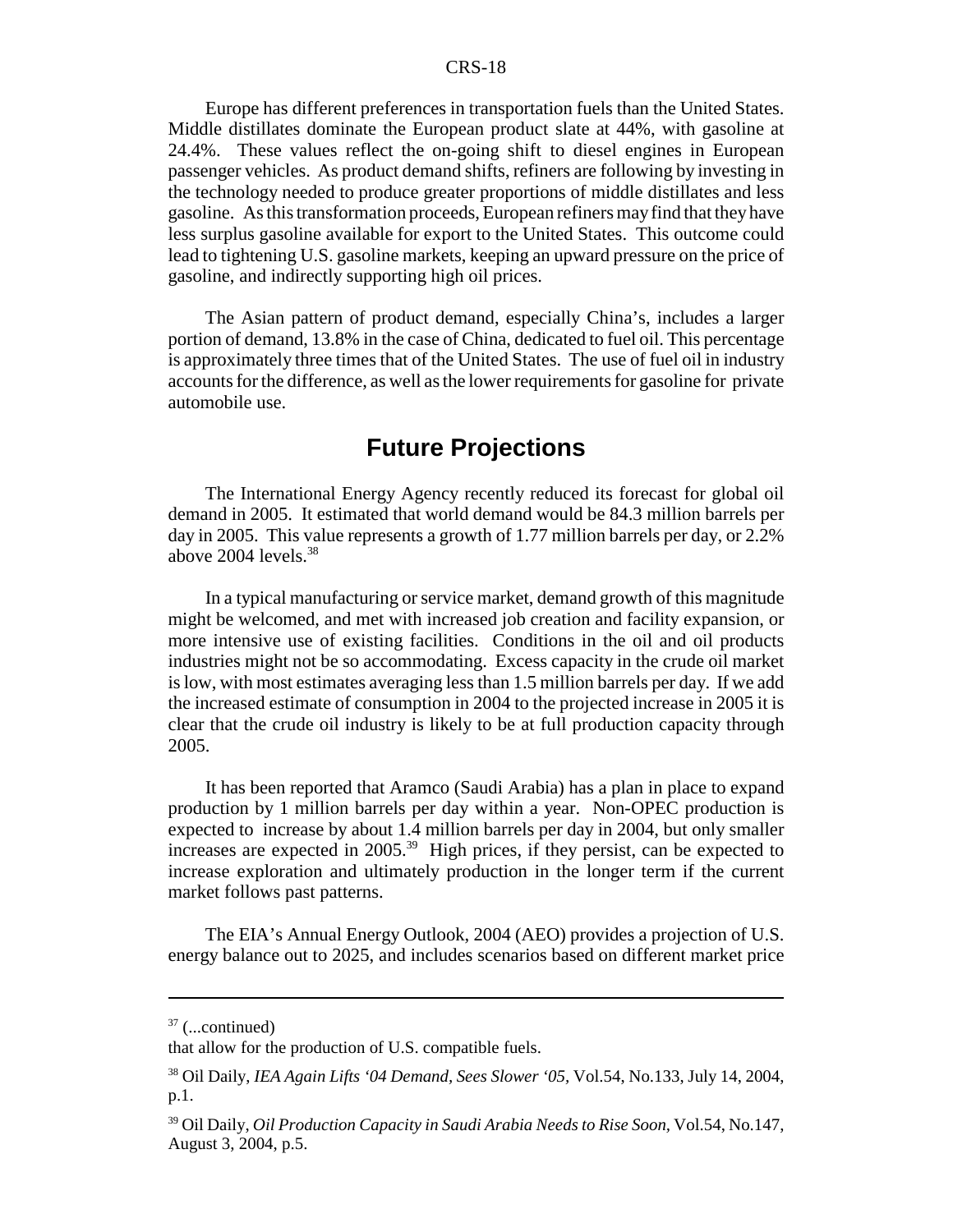Europe has different preferences in transportation fuels than the United States. Middle distillates dominate the European product slate at 44%, with gasoline at 24.4%. These values reflect the on-going shift to diesel engines in European passenger vehicles. As product demand shifts, refiners are following by investing in the technology needed to produce greater proportions of middle distillates and less gasoline. As this transformation proceeds, European refiners may find that they have less surplus gasoline available for export to the United States. This outcome could lead to tightening U.S. gasoline markets, keeping an upward pressure on the price of gasoline, and indirectly supporting high oil prices.

The Asian pattern of product demand, especially China's, includes a larger portion of demand, 13.8% in the case of China, dedicated to fuel oil. This percentage is approximately three times that of the United States. The use of fuel oil in industry accounts for the difference, as well as the lower requirements for gasoline for private automobile use.

# **Future Projections**

The International Energy Agency recently reduced its forecast for global oil demand in 2005. It estimated that world demand would be 84.3 million barrels per day in 2005. This value represents a growth of 1.77 million barrels per day, or 2.2% above  $2004$  levels.<sup>38</sup>

In a typical manufacturing or service market, demand growth of this magnitude might be welcomed, and met with increased job creation and facility expansion, or more intensive use of existing facilities. Conditions in the oil and oil products industries might not be so accommodating. Excess capacity in the crude oil market is low, with most estimates averaging less than 1.5 million barrels per day. If we add the increased estimate of consumption in 2004 to the projected increase in 2005 it is clear that the crude oil industry is likely to be at full production capacity through 2005.

It has been reported that Aramco (Saudi Arabia) has a plan in place to expand production by 1 million barrels per day within a year. Non-OPEC production is expected to increase by about 1.4 million barrels per day in 2004, but only smaller increases are expected in 2005.39 High prices, if they persist, can be expected to increase exploration and ultimately production in the longer term if the current market follows past patterns.

The EIA's Annual Energy Outlook, 2004 (AEO) provides a projection of U.S. energy balance out to 2025, and includes scenarios based on different market price

 $37$  (...continued)

that allow for the production of U.S. compatible fuels.

<sup>38</sup> Oil Daily, *IEA Again Lifts '04 Demand, Sees Slower '05,* Vol.54, No.133, July 14, 2004, p.1.

<sup>39</sup> Oil Daily, *Oil Production Capacity in Saudi Arabia Needs to Rise Soon,* Vol.54, No.147, August 3, 2004, p.5.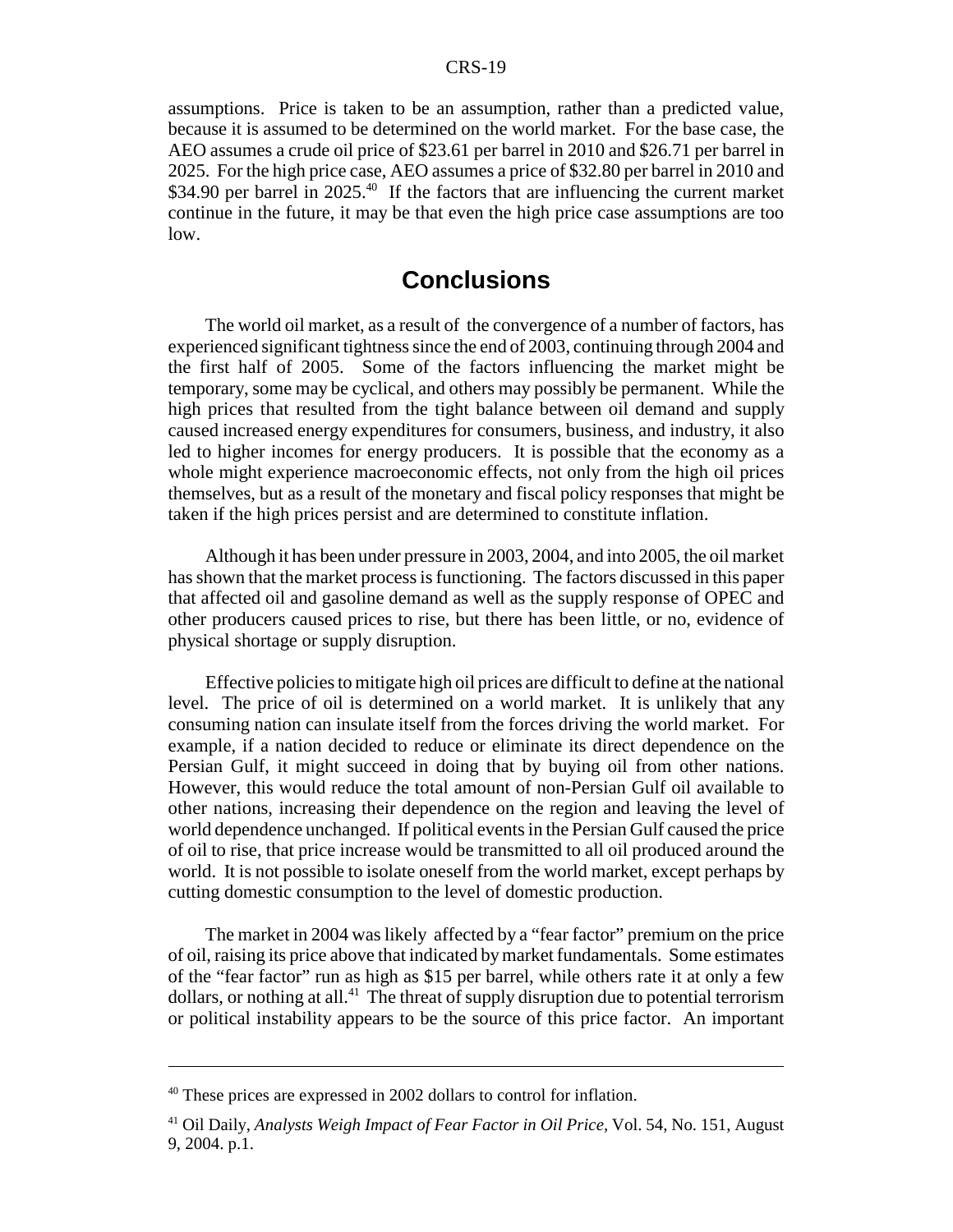assumptions. Price is taken to be an assumption, rather than a predicted value, because it is assumed to be determined on the world market. For the base case, the AEO assumes a crude oil price of \$23.61 per barrel in 2010 and \$26.71 per barrel in 2025. For the high price case, AEO assumes a price of \$32.80 per barrel in 2010 and \$34.90 per barrel in  $2025<sup>40</sup>$  If the factors that are influencing the current market continue in the future, it may be that even the high price case assumptions are too low.

# **Conclusions**

The world oil market, as a result of the convergence of a number of factors, has experienced significant tightness since the end of 2003, continuing through 2004 and the first half of 2005. Some of the factors influencing the market might be temporary, some may be cyclical, and others may possibly be permanent. While the high prices that resulted from the tight balance between oil demand and supply caused increased energy expenditures for consumers, business, and industry, it also led to higher incomes for energy producers. It is possible that the economy as a whole might experience macroeconomic effects, not only from the high oil prices themselves, but as a result of the monetary and fiscal policy responses that might be taken if the high prices persist and are determined to constitute inflation.

Although it has been under pressure in 2003, 2004, and into 2005, the oil market has shown that the market process is functioning. The factors discussed in this paper that affected oil and gasoline demand as well as the supply response of OPEC and other producers caused prices to rise, but there has been little, or no, evidence of physical shortage or supply disruption.

Effective policies to mitigate high oil prices are difficult to define at the national level. The price of oil is determined on a world market. It is unlikely that any consuming nation can insulate itself from the forces driving the world market. For example, if a nation decided to reduce or eliminate its direct dependence on the Persian Gulf, it might succeed in doing that by buying oil from other nations. However, this would reduce the total amount of non-Persian Gulf oil available to other nations, increasing their dependence on the region and leaving the level of world dependence unchanged. If political events in the Persian Gulf caused the price of oil to rise, that price increase would be transmitted to all oil produced around the world. It is not possible to isolate oneself from the world market, except perhaps by cutting domestic consumption to the level of domestic production.

The market in 2004 was likely affected by a "fear factor" premium on the price of oil, raising its price above that indicated by market fundamentals. Some estimates of the "fear factor" run as high as \$15 per barrel, while others rate it at only a few dollars, or nothing at all.<sup>41</sup> The threat of supply disruption due to potential terrorism or political instability appears to be the source of this price factor. An important

<sup>40</sup> These prices are expressed in 2002 dollars to control for inflation.

<sup>41</sup> Oil Daily, *Analysts Weigh Impact of Fear Factor in Oil Price,* Vol. 54, No. 151, August 9, 2004. p.1.